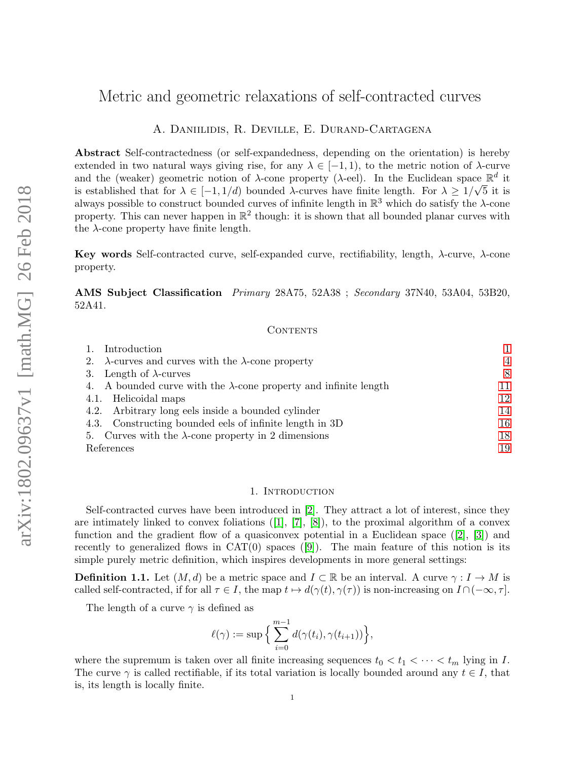# Metric and geometric relaxations of self-contracted curves

A. Daniilidis, R. Deville, E. Durand-Cartagena

Abstract Self-contractedness (or self-expandedness, depending on the orientation) is hereby extended in two natural ways giving rise, for any  $\lambda \in [-1, 1)$ , to the metric notion of  $\lambda$ -curve and the (weaker) geometric notion of  $\lambda$ -cone property ( $\lambda$ -eel). In the Euclidean space  $\mathbb{R}^d$  it is established that for  $\lambda \in [-1, 1/d)$  bounded  $\lambda$ -curves have finite length. For  $\lambda \geq 1/\sqrt{5}$  it is always possible to construct bounded curves of infinite length in  $\mathbb{R}^3$  which do satisfy the  $\lambda$ -cone property. This can never happen in  $\mathbb{R}^2$  though: it is shown that all bounded planar curves with the  $\lambda$ -cone property have finite length.

Key words Self-contracted curve, self-expanded curve, rectifiability, length, λ-curve, λ-cone property.

AMS Subject Classification Primary 28A75, 52A38 ; Secondary 37N40, 53A04, 53B20, 52A41.

### CONTENTS

| Introduction                                                             |                |
|--------------------------------------------------------------------------|----------------|
| 2. $\lambda$ -curves and curves with the $\lambda$ -cone property        | $\overline{4}$ |
| Length of $\lambda$ -curves<br>3.                                        | 8              |
| 4. A bounded curve with the $\lambda$ -cone property and infinite length | 11             |
| 4.1. Helicoidal maps                                                     | 12             |
| 4.2. Arbitrary long eels inside a bounded cylinder                       | 14             |
| 4.3. Constructing bounded eels of infinite length in 3D                  | 16             |
| 5. Curves with the $\lambda$ -cone property in 2 dimensions              | 18             |
| References                                                               | 19             |

## 1. INTRODUCTION

<span id="page-0-0"></span>Self-contracted curves have been introduced in [\[2\]](#page-18-1). They attract a lot of interest, since they areintimately linked to convex foliations  $([1], [7], [8])$  $([1], [7], [8])$  $([1], [7], [8])$  $([1], [7], [8])$  $([1], [7], [8])$  $([1], [7], [8])$  $([1], [7], [8])$ , to the proximal algorithm of a convex function and the gradient flow of a quasiconvex potential in a Euclidean space  $([2], [3])$  $([2], [3])$  $([2], [3])$  $([2], [3])$  $([2], [3])$  and recentlyto generalized flows in  $CAT(0)$  spaces  $([9])$  $([9])$  $([9])$ . The main feature of this notion is its simple purely metric definition, which inspires developments in more general settings:

**Definition 1.1.** Let  $(M, d)$  be a metric space and  $I \subset \mathbb{R}$  be an interval. A curve  $\gamma : I \to M$  is called self-contracted, if for all  $\tau \in I$ , the map  $t \mapsto d(\gamma(t), \gamma(\tau))$  is non-increasing on  $I \cap (-\infty, \tau]$ .

The length of a curve  $\gamma$  is defined as

$$
\ell(\gamma) := \sup \Big\{ \sum_{i=0}^{m-1} d(\gamma(t_i), \gamma(t_{i+1})) \Big\},\,
$$

where the supremum is taken over all finite increasing sequences  $t_0 < t_1 < \cdots < t_m$  lying in I. The curve  $\gamma$  is called rectifiable, if its total variation is locally bounded around any  $t \in I$ , that is, its length is locally finite.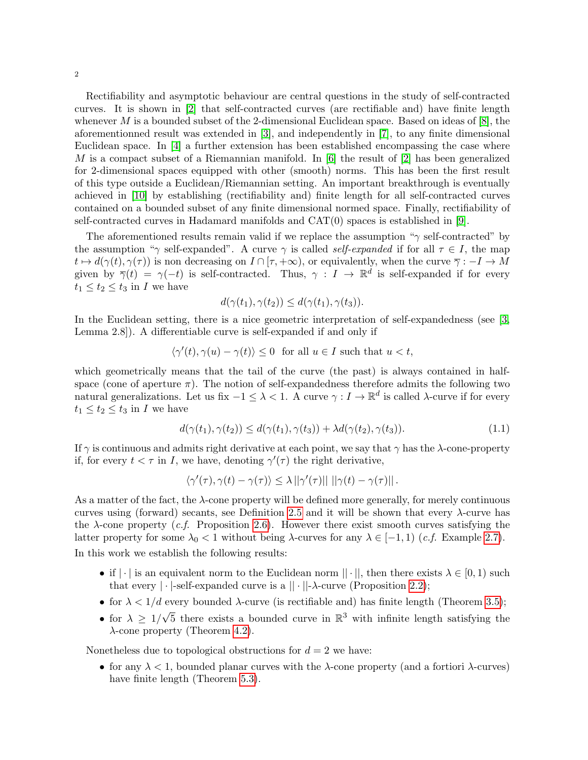Rectifiability and asymptotic behaviour are central questions in the study of self-contracted curves. It is shown in [\[2\]](#page-18-1) that self-contracted curves (are rectifiable and) have finite length whenever M is a bounded subset of the 2-dimensional Euclidean space. Based on ideas of  $[8]$ , the aforementionned result was extended in [\[3\]](#page-18-5), and independently in [\[7\]](#page-18-3), to any finite dimensional Euclidean space. In [\[4\]](#page-18-7) a further extension has been established encompassing the case where M is a compact subset of a Riemannian manifold. In  $[6]$  the result of  $[2]$  has been generalized for 2-dimensional spaces equipped with other (smooth) norms. This has been the first result of this type outside a Euclidean/Riemannian setting. An important breakthrough is eventually achieved in [\[10\]](#page-18-9) by establishing (rectifiability and) finite length for all self-contracted curves contained on a bounded subset of any finite dimensional normed space. Finally, rectifiability of self-contracted curves in Hadamard manifolds and CAT(0) spaces is established in [\[9\]](#page-18-6).

The aforementioned results remain valid if we replace the assumption " $\gamma$  self-contracted" by the assumption "γ self-expanded". A curve γ is called *self-expanded* if for all  $\tau \in I$ , the map  $t \mapsto d(\gamma(t), \gamma(\tau))$  is non decreasing on  $I \cap [\tau, +\infty)$ , or equivalently, when the curve  $\overline{\gamma} : -I \to M$ given by  $\overline{\gamma}(t) = \gamma(-t)$  is self-contracted. Thus,  $\gamma : I \to \mathbb{R}^d$  is self-expanded if for every  $t_1 \leq t_2 \leq t_3$  in I we have

$$
d(\gamma(t_1), \gamma(t_2)) \leq d(\gamma(t_1), \gamma(t_3)).
$$

In the Euclidean setting, there is a nice geometric interpretation of self-expandedness (see [\[3,](#page-18-5) Lemma 2.8]). A differentiable curve is self-expanded if and only if

$$
\langle \gamma'(t), \gamma(u) - \gamma(t) \rangle \le 0 \quad \text{for all } u \in I \text{ such that } u < t,
$$

which geometrically means that the tail of the curve (the past) is always contained in halfspace (cone of aperture  $\pi$ ). The notion of self-expandedness therefore admits the following two natural generalizations. Let us fix  $-1 \leq \lambda < 1$ . A curve  $\gamma: I \to \mathbb{R}^d$  is called  $\lambda$ -curve if for every  $t_1 \leq t_2 \leq t_3$  in I we have

$$
d(\gamma(t_1), \gamma(t_2)) \le d(\gamma(t_1), \gamma(t_3)) + \lambda d(\gamma(t_2), \gamma(t_3)).\tag{1.1}
$$

If  $\gamma$  is continuous and admits right derivative at each point, we say that  $\gamma$  has the  $\lambda$ -cone-property if, for every  $t < \tau$  in I, we have, denoting  $\gamma'(\tau)$  the right derivative,

$$
\langle \gamma'(\tau), \gamma(t) - \gamma(\tau) \rangle \leq \lambda ||\gamma'(\tau)|| \, ||\gamma(t) - \gamma(\tau)|| \, .
$$

As a matter of the fact, the λ-cone property will be defined more generally, for merely continuous curves using (forward) secants, see Definition [2.5](#page-5-0) and it will be shown that every  $\lambda$ -curve has the  $\lambda$ -cone property (*c.f.* Proposition [2.6\)](#page-5-1). However there exist smooth curves satisfying the latter property for some  $\lambda_0 < 1$  without being  $\lambda$ -curves for any  $\lambda \in [-1,1)$  (*c.f.* Example [2.7\)](#page-6-0).

In this work we establish the following results:

- if  $|\cdot|$  is an equivalent norm to the Euclidean norm  $||\cdot||$ , then there exists  $\lambda \in [0,1)$  such that every  $|\cdot|$ -self-expanded curve is a  $||\cdot||$ - $\lambda$ -curve (Proposition [2.2\)](#page-3-1);
- for  $\lambda < 1/d$  every bounded  $\lambda$ -curve (is rectifiable and) has finite length (Theorem [3.5\)](#page-8-0);
- for  $\lambda \geq 1/$  $\sqrt{5}$  there exists a bounded curve in  $\mathbb{R}^3$  with infinite length satisfying the  $\lambda$ -cone property (Theorem [4.2\)](#page-11-1).

Nonetheless due to topological obstructions for  $d = 2$  we have:

• for any  $\lambda < 1$ , bounded planar curves with the  $\lambda$ -cone property (and a fortiori  $\lambda$ -curves) have finite length (Theorem [5.3\)](#page-18-10).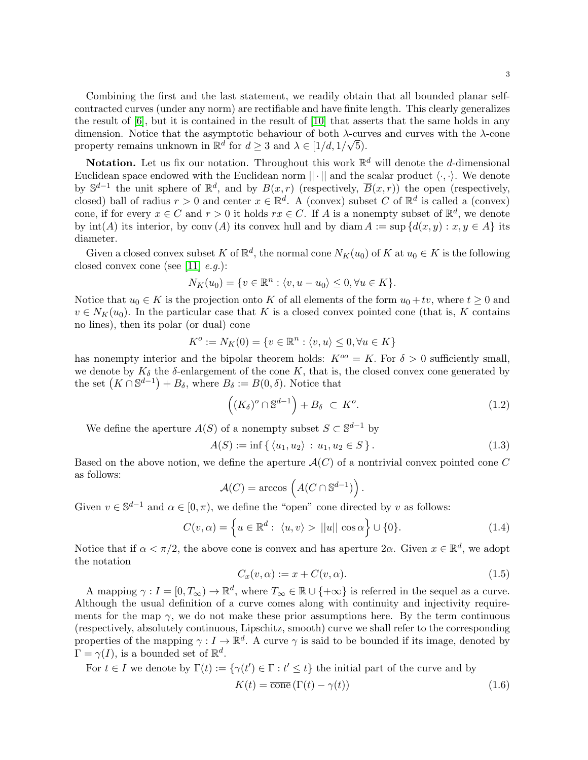**Notation.** Let us fix our notation. Throughout this work  $\mathbb{R}^d$  will denote the d-dimensional Euclidean space endowed with the Euclidean norm  $|| \cdot ||$  and the scalar product  $\langle \cdot, \cdot \rangle$ . We denote by  $\mathbb{S}^{d-1}$  the unit sphere of  $\mathbb{R}^d$ , and by  $B(x,r)$  (respectively,  $\overline{B}(x,r)$ ) the open (respectively, closed) ball of radius  $r > 0$  and center  $x \in \mathbb{R}^d$ . A (convex) subset C of  $\mathbb{R}^d$  is called a (convex) cone, if for every  $x \in C$  and  $r > 0$  it holds  $rx \in C$ . If A is a nonempty subset of  $\mathbb{R}^d$ , we denote by  $\text{int}(A)$  its interior, by conv  $(A)$  its convex hull and by diam  $A := \sup \{d(x, y) : x, y \in A\}$  its diameter.

Given a closed convex subset K of  $\mathbb{R}^d$ , the normal cone  $N_K(u_0)$  of K at  $u_0 \in K$  is the following closed convex cone (see [\[11\]](#page-18-11)  $e.q.$ ):

$$
N_K(u_0) = \{ v \in \mathbb{R}^n : \langle v, u - u_0 \rangle \le 0, \forall u \in K \}.
$$

Notice that  $u_0 \in K$  is the projection onto K of all elements of the form  $u_0 + tv$ , where  $t \geq 0$  and  $v \in N_K(u_0)$ . In the particular case that K is a closed convex pointed cone (that is, K contains no lines), then its polar (or dual) cone

$$
K^o := N_K(0) = \{ v \in \mathbb{R}^n : \langle v, u \rangle \le 0, \forall u \in K \}
$$

has nonempty interior and the bipolar theorem holds:  $K^{oo} = K$ . For  $\delta > 0$  sufficiently small, we denote by  $K_{\delta}$  the  $\delta$ -enlargement of the cone K, that is, the closed convex cone generated by the set  $(K \cap \mathbb{S}^{d-1}) + B_{\delta}$ , where  $B_{\delta} := B(0, \delta)$ . Notice that

<span id="page-2-2"></span>
$$
((K_{\delta})^o \cap \mathbb{S}^{d-1}) + B_{\delta} \subset K^o.
$$
 (1.2)

We define the aperture  $A(S)$  of a nonempty subset  $S \subset \mathbb{S}^{d-1}$  by

<span id="page-2-1"></span>
$$
A(S) := \inf \{ \langle u_1, u_2 \rangle : u_1, u_2 \in S \}.
$$
 (1.3)

Based on the above notion, we define the aperture  $\mathcal{A}(C)$  of a nontrivial convex pointed cone C as follows:

$$
\mathcal{A}(C) = \arccos\left(A(C \cap \mathbb{S}^{d-1})\right).
$$

Given  $v \in \mathbb{S}^{d-1}$  and  $\alpha \in [0, \pi)$ , we define the "open" cone directed by v as follows:

<span id="page-2-0"></span>
$$
C(v, \alpha) = \left\{ u \in \mathbb{R}^d : \langle u, v \rangle > ||u|| \cos \alpha \right\} \cup \{0\}.
$$
 (1.4)

Notice that if  $\alpha < \pi/2$ , the above cone is convex and has aperture  $2\alpha$ . Given  $x \in \mathbb{R}^d$ , we adopt the notation

<span id="page-2-3"></span>
$$
C_x(v, \alpha) := x + C(v, \alpha). \tag{1.5}
$$

A mapping  $\gamma: I = [0, T_{\infty}) \to \mathbb{R}^d$ , where  $T_{\infty} \in \mathbb{R} \cup \{+\infty\}$  is referred in the sequel as a curve. Although the usual definition of a curve comes along with continuity and injectivity requirements for the map  $\gamma$ , we do not make these prior assumptions here. By the term continuous (respectively, absolutely continuous, Lipschitz, smooth) curve we shall refer to the corresponding properties of the mapping  $\gamma: I \to \mathbb{R}^d$ . A curve  $\gamma$  is said to be bounded if its image, denoted by  $\Gamma = \gamma(I)$ , is a bounded set of  $\mathbb{R}^d$ .

For  $t \in I$  we denote by  $\Gamma(t) := \{ \gamma(t') \in \Gamma : t' \leq t \}$  the initial part of the curve and by

$$
K(t) = \overline{\text{cone}}\left(\Gamma(t) - \gamma(t)\right) \tag{1.6}
$$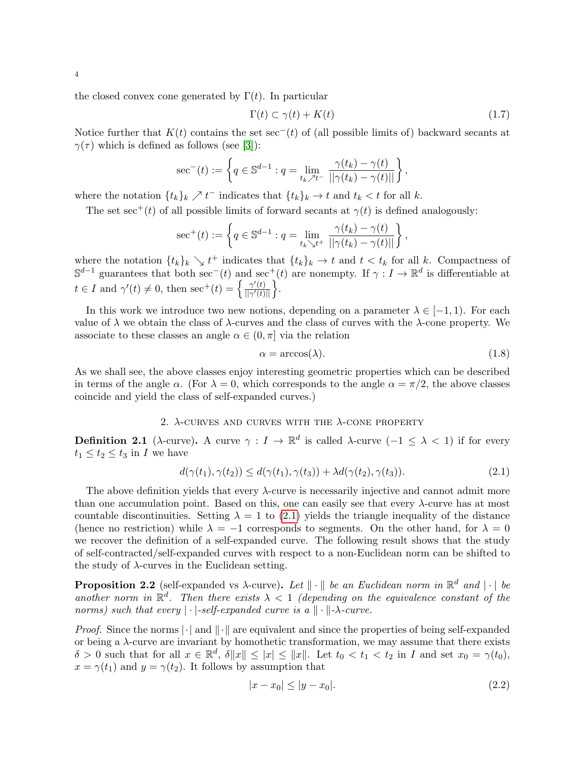the closed convex cone generated by  $\Gamma(t)$ . In particular

<span id="page-3-5"></span>
$$
\Gamma(t) \subset \gamma(t) + K(t) \tag{1.7}
$$

Notice further that  $K(t)$  contains the set sec<sup>−</sup>(t) of (all possible limits of) backward secants at  $\gamma(\tau)$  which is defined as follows (see [\[3\]](#page-18-5)):

$$
\sec^{-}(t) := \left\{ q \in \mathbb{S}^{d-1} : q = \lim_{t_k \nearrow t^{-}} \frac{\gamma(t_k) - \gamma(t)}{||\gamma(t_k) - \gamma(t)||} \right\},\,
$$

where the notation  $\{t_k\}_k \nearrow t^-$  indicates that  $\{t_k\}_k \to t$  and  $t_k < t$  for all k.

The set sec<sup>+</sup>(t) of all possible limits of forward secants at  $\gamma(t)$  is defined analogously:

$$
\sec^{+}(t) := \left\{ q \in \mathbb{S}^{d-1} : q = \lim_{t_k \searrow t^+} \frac{\gamma(t_k) - \gamma(t)}{||\gamma(t_k) - \gamma(t)||} \right\},\,
$$

where the notation  $\{t_k\}_k \searrow t^+$  indicates that  $\{t_k\}_k \to t$  and  $t < t_k$  for all k. Compactness of  $\mathbb{S}^{d-1}$  guarantees that both sec<sup>-</sup>(t) and sec<sup>+</sup>(t) are nonempty. If  $\gamma : I \to \mathbb{R}^d$  is differentiable at  $t \in I$  and  $\gamma'(t) \neq 0$ , then  $\sec^+(t) = \begin{cases} \frac{\gamma'(t)}{\ln \gamma'(t)} \end{cases}$  $\frac{\gamma'(t)}{\|\gamma'(t)\|}$ .

In this work we introduce two new notions, depending on a parameter  $\lambda \in [-1,1)$ . For each value of  $\lambda$  we obtain the class of  $\lambda$ -curves and the class of curves with the  $\lambda$ -cone property. We associate to these classes an angle  $\alpha \in (0, \pi]$  via the relation

<span id="page-3-4"></span>
$$
\alpha = \arccos(\lambda). \tag{1.8}
$$

As we shall see, the above classes enjoy interesting geometric properties which can be described in terms of the angle  $\alpha$ . (For  $\lambda = 0$ , which corresponds to the angle  $\alpha = \pi/2$ , the above classes coincide and yield the class of self-expanded curves.)

# 2.  $\lambda$ -CURVES AND CURVES WITH THE  $\lambda$ -CONE PROPERTY

<span id="page-3-2"></span><span id="page-3-0"></span>**Definition 2.1** ( $\lambda$ -curve). A curve  $\gamma: I \to \mathbb{R}^d$  is called  $\lambda$ -curve  $(-1 \leq \lambda < 1)$  if for every  $t_1 \leq t_2 \leq t_3$  in I we have

$$
d(\gamma(t_1), \gamma(t_2)) \le d(\gamma(t_1), \gamma(t_3)) + \lambda d(\gamma(t_2), \gamma(t_3)). \tag{2.1}
$$

The above definition yields that every  $\lambda$ -curve is necessarily injective and cannot admit more than one accumulation point. Based on this, one can easily see that every  $\lambda$ -curve has at most countable discontinuities. Setting  $\lambda = 1$  to [\(2.1\)](#page-3-2) yields the triangle inequality of the distance (hence no restriction) while  $\lambda = -1$  corresponds to segments. On the other hand, for  $\lambda = 0$ we recover the definition of a self-expanded curve. The following result shows that the study of self-contracted/self-expanded curves with respect to a non-Euclidean norm can be shifted to the study of  $\lambda$ -curves in the Euclidean setting.

<span id="page-3-1"></span>**Proposition 2.2** (self-expanded vs  $\lambda$ -curve). Let  $\|\cdot\|$  be an Euclidean norm in  $\mathbb{R}^d$  and  $|\cdot|$  be another norm in  $\mathbb{R}^d$ . Then there exists  $\lambda < 1$  (depending on the equivalence constant of the norms) such that every  $|\cdot|$ -self-expanded curve is a  $\|\cdot\|$ - $\lambda$ -curve.

*Proof.* Since the norms  $\lVert \cdot \rVert$  and  $\lVert \cdot \rVert$  are equivalent and since the properties of being self-expanded or being a  $\lambda$ -curve are invariant by homothetic transformation, we may assume that there exists  $\delta > 0$  such that for all  $x \in \mathbb{R}^d$ ,  $\delta \|x\| \leq |x| \leq \|x\|$ . Let  $t_0 < t_1 < t_2$  in I and set  $x_0 = \gamma(t_0)$ ,  $x = \gamma(t_1)$  and  $y = \gamma(t_2)$ . It follows by assumption that

<span id="page-3-3"></span>
$$
|x - x_0| \le |y - x_0|.\tag{2.2}
$$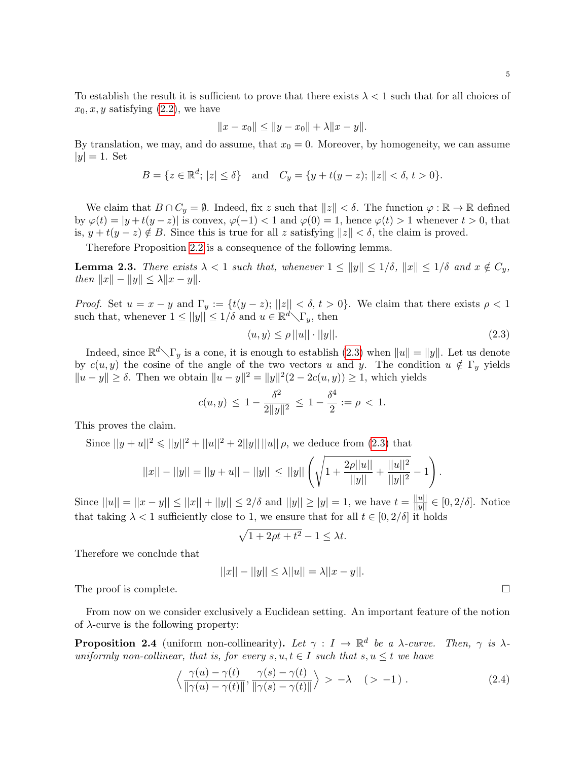To establish the result it is sufficient to prove that there exists  $\lambda < 1$  such that for all choices of  $x_0, x, y$  satisfying  $(2.2)$ , we have

$$
||x - x_0|| \le ||y - x_0|| + \lambda ||x - y||.
$$

By translation, we may, and do assume, that  $x_0 = 0$ . Moreover, by homogeneity, we can assume  $|y| = 1$ . Set

$$
B = \{ z \in \mathbb{R}^d; |z| \le \delta \} \quad \text{and} \quad C_y = \{ y + t(y - z); ||z|| < \delta, t > 0 \}.
$$

We claim that  $B \cap C_y = \emptyset$ . Indeed, fix z such that  $||z|| < \delta$ . The function  $\varphi : \mathbb{R} \to \mathbb{R}$  defined by  $\varphi(t) = |y+t(y-z)|$  is convex,  $\varphi(-1) < 1$  and  $\varphi(0) = 1$ , hence  $\varphi(t) > 1$  whenever  $t > 0$ , that is,  $y + t(y - z) \notin B$ . Since this is true for all z satisfying  $||z|| < \delta$ , the claim is proved.

Therefore Proposition [2.2](#page-3-1) is a consequence of the following lemma.

**Lemma 2.3.** There exists  $\lambda < 1$  such that, whenever  $1 \le ||y|| \le 1/\delta$ ,  $||x|| \le 1/\delta$  and  $x \notin C_y$ , then  $||x|| - ||y|| \leq \lambda ||x - y||$ .

*Proof.* Set  $u = x - y$  and  $\Gamma_y := \{t(y - z); ||z|| < \delta, t > 0\}$ . We claim that there exists  $\rho < 1$ such that, whenever  $1 \le ||y|| \le 1/\delta$  and  $u \in \mathbb{R}^d \setminus \Gamma_y$ , then

<span id="page-4-0"></span>
$$
\langle u, y \rangle \le \rho ||u|| \cdot ||y||. \tag{2.3}
$$

Indeed, since  $\mathbb{R}^d \setminus \Gamma_y$  is a cone, it is enough to establish [\(2.3\)](#page-4-0) when  $||u|| = ||y||$ . Let us denote by  $c(u, y)$  the cosine of the angle of the two vectors u and y. The condition  $u \notin \Gamma_y$  yields  $||u - y|| \ge \delta$ . Then we obtain  $||u - y||^2 = ||y||^2(2 - 2c(u, y)) \ge 1$ , which yields

$$
c(u, y) \le 1 - \frac{\delta^2}{2||y||^2} \le 1 - \frac{\delta^4}{2} := \rho < 1.
$$

This proves the claim.

Since  $||y + u||^2 \le ||y||^2 + ||u||^2 + 2||y|| ||u|| \rho$ , we deduce from [\(2.3\)](#page-4-0) that

$$
||x|| - ||y|| = ||y + u|| - ||y|| \le ||y|| \left( \sqrt{1 + \frac{2\rho ||u||}{||y||} + \frac{||u||^2}{||y||^2}} - 1 \right).
$$

Since  $||u|| = ||x - y|| \le ||x|| + ||y|| \le 2/\delta$  and  $||y|| \ge |y| = 1$ , we have  $t = \frac{||u||}{||y||} \in [0, 2/\delta]$ . Notice that taking  $\lambda < 1$  sufficiently close to 1, we ensure that for all  $t \in [0, 2/\delta]$  it holds

$$
\sqrt{1+2\rho t+t^2}-1\leq \lambda t.
$$

Therefore we conclude that

$$
||x|| - ||y|| \le \lambda ||u|| = \lambda ||x - y||.
$$

The proof is complete.  $\Box$ 

From now on we consider exclusively a Euclidean setting. An important feature of the notion of  $\lambda$ -curve is the following property:

<span id="page-4-1"></span>**Proposition 2.4** (uniform non-collinearity). Let  $\gamma : I \to \mathbb{R}^d$  be a  $\lambda$ -curve. Then,  $\gamma$  is  $\lambda$ uniformly non-collinear, that is, for every  $s, u, t \in I$  such that  $s, u \leq t$  we have

$$
\left\langle \frac{\gamma(u) - \gamma(t)}{\|\gamma(u) - \gamma(t)\|}, \frac{\gamma(s) - \gamma(t)}{\|\gamma(s) - \gamma(t)\|} \right\rangle > -\lambda \quad (>-1) \ . \tag{2.4}
$$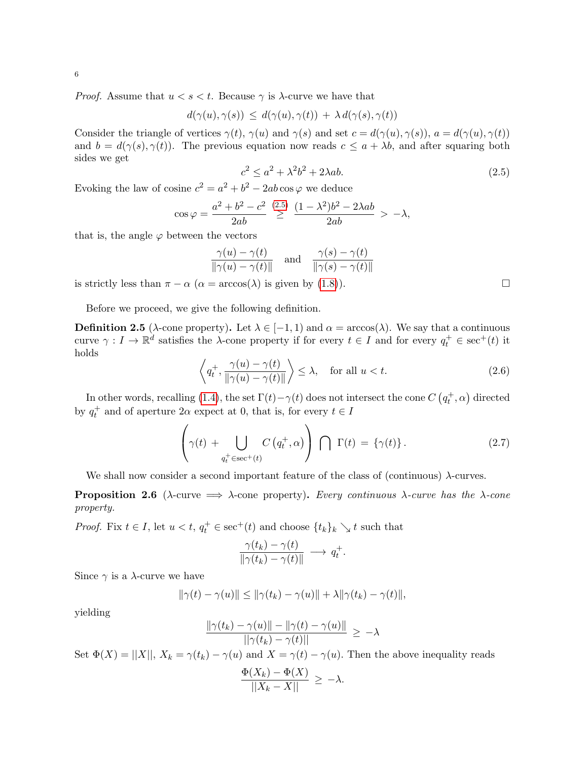*Proof.* Assume that  $u < s < t$ . Because  $\gamma$  is  $\lambda$ -curve we have that

$$
d(\gamma(u),\gamma(s)) \leq d(\gamma(u),\gamma(t)) + \lambda d(\gamma(s),\gamma(t))
$$

Consider the triangle of vertices  $\gamma(t)$ ,  $\gamma(u)$  and  $\gamma(s)$  and set  $c = d(\gamma(u), \gamma(s))$ ,  $a = d(\gamma(u), \gamma(t))$ and  $b = d(\gamma(s), \gamma(t))$ . The previous equation now reads  $c \le a + \lambda b$ , and after squaring both sides we get

<span id="page-5-2"></span>
$$
c^2 \le a^2 + \lambda^2 b^2 + 2\lambda ab. \tag{2.5}
$$

Evoking the law of cosine  $c^2 = a^2 + b^2 - 2ab \cos \varphi$  we deduce

$$
\cos \varphi = \frac{a^2 + b^2 - c^2}{2ab} \stackrel{(2.5)}{\geq} \frac{(1 - \lambda^2)b^2 - 2\lambda ab}{2ab} > -\lambda,
$$

that is, the angle  $\varphi$  between the vectors

$$
\frac{\gamma(u) - \gamma(t)}{\|\gamma(u) - \gamma(t)\|} \quad \text{and} \quad \frac{\gamma(s) - \gamma(t)}{\|\gamma(s) - \gamma(t)\|}
$$

is strictly less than  $\pi - \alpha$  ( $\alpha = \arccos(\lambda)$  is given by [\(1.8\)](#page-3-4)).

Before we proceed, we give the following definition.

<span id="page-5-0"></span>**Definition 2.5** ( $\lambda$ -cone property). Let  $\lambda \in [-1, 1)$  and  $\alpha = \arccos(\lambda)$ . We say that a continuous curve  $\gamma: I \to \mathbb{R}^d$  satisfies the  $\lambda$ -cone property if for every  $t \in I$  and for every  $q_t^+ \in \text{sec}^+(t)$  it holds

<span id="page-5-3"></span>
$$
\left\langle q_t^+, \frac{\gamma(u) - \gamma(t)}{\|\gamma(u) - \gamma(t)\|} \right\rangle \le \lambda, \quad \text{for all } u < t. \tag{2.6}
$$

In other words, recalling [\(1.4\)](#page-2-0), the set  $\Gamma(t) - \gamma(t)$  does not intersect the cone  $C(q_t^+, \alpha)$  directed by  $q_t^+$  and of aperture  $2\alpha$  expect at 0, that is, for every  $t \in I$ 

<span id="page-5-4"></span>
$$
\left(\gamma(t) + \bigcup_{q_t^+ \in \text{sec}^+(t)} C(q_t^+, \alpha)\right) \bigcap \Gamma(t) = \{\gamma(t)\}. \tag{2.7}
$$

We shall now consider a second important feature of the class of (continuous)  $\lambda$ -curves.

<span id="page-5-1"></span>**Proposition 2.6** ( $\lambda$ -curve  $\implies \lambda$ -cone property). Every continuous  $\lambda$ -curve has the  $\lambda$ -cone property.

*Proof.* Fix  $t \in I$ , let  $u < t$ ,  $q_t^+ \in \sec^+(t)$  and choose  $\{t_k\}_k \searrow t$  such that

$$
\frac{\gamma(t_k)-\gamma(t)}{\|\gamma(t_k)-\gamma(t)\|} \longrightarrow q_t^+.
$$

Since  $\gamma$  is a  $\lambda$ -curve we have

$$
\|\gamma(t)-\gamma(u)\|\leq \|\gamma(t_k)-\gamma(u)\|+\lambda\|\gamma(t_k)-\gamma(t)\|,
$$

yielding

$$
\frac{\|\gamma(t_k)-\gamma(u)\|-\|\gamma(t)-\gamma(u)\|}{||\gamma(t_k)-\gamma(t)||}\,\geq\,-\lambda
$$

Set  $\Phi(X) = ||X||$ ,  $X_k = \gamma(t_k) - \gamma(u)$  and  $X = \gamma(t) - \gamma(u)$ . Then the above inequality reads

$$
\frac{\Phi(X_k) - \Phi(X)}{||X_k - X||} \ge -\lambda.
$$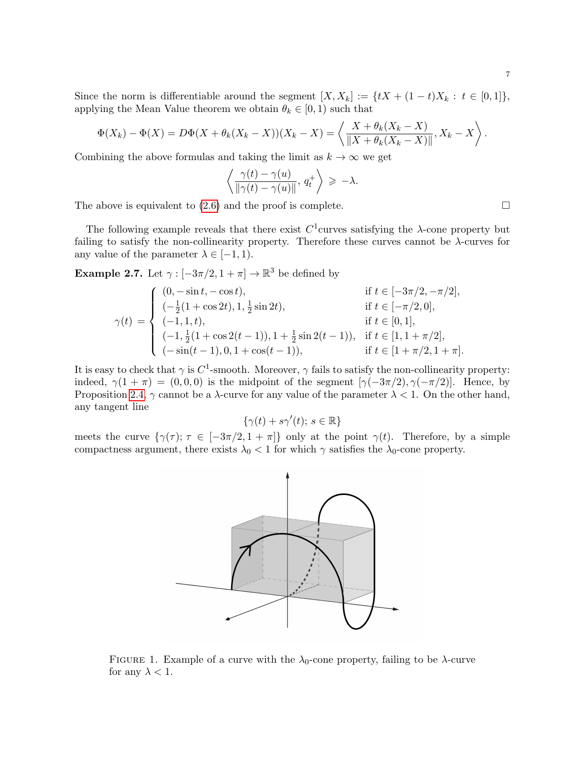Since the norm is differentiable around the segment  $[X, X_k] := \{tX + (1-t)X_k : t \in [0,1]\},\$ applying the Mean Value theorem we obtain  $\theta_k \in [0, 1)$  such that

$$
\Phi(X_k) - \Phi(X) = D\Phi(X + \theta_k(X_k - X))(X_k - X) = \left\langle \frac{X + \theta_k(X_k - X)}{\|X + \theta_k(X_k - X)\|}, X_k - X \right\rangle.
$$

Combining the above formulas and taking the limit as  $k \to \infty$  we get

$$
\left\langle \frac{\gamma(t) - \gamma(u)}{\|\gamma(t) - \gamma(u)\|}, q_t^+ \right\rangle \geq -\lambda.
$$

The above is equivalent to  $(2.6)$  and the proof is complete.

The following example reveals that there exist  $C^1$ curves satisfying the  $\lambda$ -cone property but failing to satisfy the non-collinearity property. Therefore these curves cannot be  $\lambda$ -curves for any value of the parameter  $\lambda \in [-1, 1)$ .

<span id="page-6-0"></span>**Example 2.7.** Let  $\gamma : [-3\pi/2, 1 + \pi] \to \mathbb{R}^3$  be defined by

$$
\gamma(t) = \begin{cases}\n(0, -\sin t, -\cos t), & \text{if } t \in [-3\pi/2, -\pi/2], \\
(-\frac{1}{2}(1 + \cos 2t), 1, \frac{1}{2}\sin 2t), & \text{if } t \in [-\pi/2, 0], \\
(-1, 1, t), & \text{if } t \in [0, 1], \\
(-1, \frac{1}{2}(1 + \cos 2(t - 1)), 1 + \frac{1}{2}\sin 2(t - 1)), & \text{if } t \in [1, 1 + \pi/2], \\
(-\sin(t - 1), 0, 1 + \cos(t - 1)), & \text{if } t \in [1 + \pi/2, 1 + \pi].\n\end{cases}
$$

It is easy to check that  $\gamma$  is  $C^1$ -smooth. Moreover,  $\gamma$  fails to satisfy the non-collinearity property: indeed,  $\gamma(1 + \pi) = (0, 0, 0)$  is the midpoint of the segment  $[\gamma(-3\pi/2), \gamma(-\pi/2)]$ . Hence, by Proposition [2.4,](#page-4-1)  $\gamma$  cannot be a  $\lambda$ -curve for any value of the parameter  $\lambda < 1$ . On the other hand, any tangent line

$$
\{\gamma(t) + s\gamma'(t); \ s \in \mathbb{R}\}
$$

meets the curve  $\{\gamma(\tau); \tau \in [-3\pi/2, 1 + \pi]\}$  only at the point  $\gamma(t)$ . Therefore, by a simple compactness argument, there exists  $\lambda_0 < 1$  for which  $\gamma$  satisfies the  $\lambda_0$ -cone property.



FIGURE 1. Example of a curve with the  $\lambda_0$ -cone property, failing to be  $\lambda$ -curve for any  $\lambda < 1$ .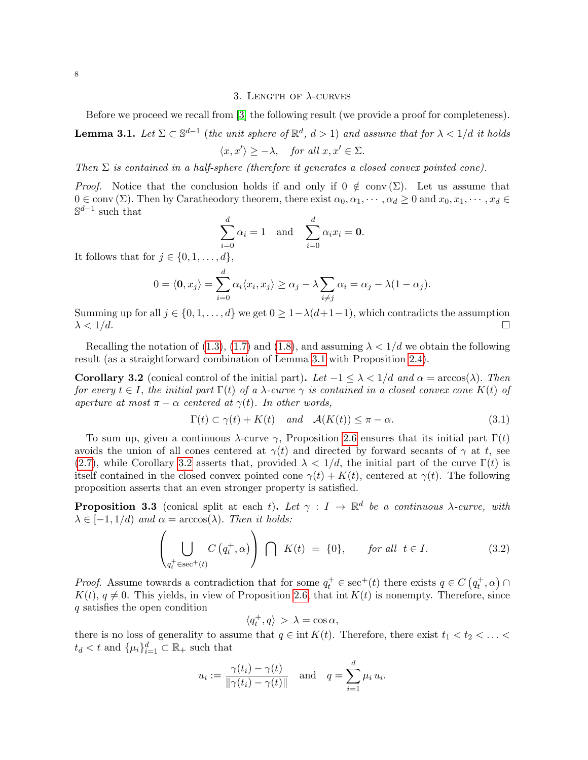## 3. LENGTH OF  $\lambda$ -CURVES

<span id="page-7-0"></span>Before we proceed we recall from [\[3\]](#page-18-5) the following result (we provide a proof for completeness).

<span id="page-7-1"></span>**Lemma 3.1.** Let  $\Sigma \subset \mathbb{S}^{d-1}$  (the unit sphere of  $\mathbb{R}^d$ ,  $d > 1$ ) and assume that for  $\lambda < 1/d$  it holds  $\langle x, x' \rangle \geq -\lambda$ , for all  $x, x' \in \Sigma$ .

Then  $\Sigma$  is contained in a half-sphere (therefore it generates a closed convex pointed cone).

*Proof.* Notice that the conclusion holds if and only if  $0 \notin \text{conv}(\Sigma)$ . Let us assume that  $0 \in \text{conv}(\Sigma)$ . Then by Caratheodory theorem, there exist  $\alpha_0, \alpha_1, \cdots, \alpha_d \geq 0$  and  $x_0, x_1, \cdots, x_d \in$  $\mathbb{S}^{d-1}$  such that

$$
\sum_{i=0}^{d} \alpha_i = 1 \quad \text{and} \quad \sum_{i=0}^{d} \alpha_i x_i = \mathbf{0}.
$$

It follows that for  $j \in \{0, 1, \ldots, d\}$ ,

$$
0 = \langle \mathbf{0}, x_j \rangle = \sum_{i=0}^d \alpha_i \langle x_i, x_j \rangle \ge \alpha_j - \lambda \sum_{i \ne j} \alpha_i = \alpha_j - \lambda (1 - \alpha_j).
$$

Summing up for all  $j \in \{0, 1, \ldots, d\}$  we get  $0 \geq 1 - \lambda(d+1-1)$ , which contradicts the assumption  $\lambda < 1/d$ .

Recalling the notation of [\(1.3\)](#page-2-1), [\(1.7\)](#page-3-5) and [\(1.8\)](#page-3-4), and assuming  $\lambda < 1/d$  we obtain the following result (as a straightforward combination of Lemma [3.1](#page-7-1) with Proposition [2.4\)](#page-4-1).

<span id="page-7-2"></span>**Corollary 3.2** (conical control of the initial part). Let  $-1 \leq \lambda < 1/d$  and  $\alpha = \arccos(\lambda)$ . Then for every  $t \in I$ , the initial part  $\Gamma(t)$  of a  $\lambda$ -curve  $\gamma$  is contained in a closed convex cone  $K(t)$  of aperture at most  $\pi - \alpha$  centered at  $\gamma(t)$ . In other words,

$$
\Gamma(t) \subset \gamma(t) + K(t) \quad and \quad \mathcal{A}(K(t)) \le \pi - \alpha. \tag{3.1}
$$

To sum up, given a continuous  $\lambda$ -curve  $\gamma$ , Proposition [2.6](#page-5-1) ensures that its initial part  $\Gamma(t)$ avoids the union of all cones centered at  $\gamma(t)$  and directed by forward secants of  $\gamma$  at t, see [\(2.7\)](#page-5-4), while Corollary [3.2](#page-7-2) asserts that, provided  $\lambda < 1/d$ , the initial part of the curve  $\Gamma(t)$  is itself contained in the closed convex pointed cone  $\gamma(t) + K(t)$ , centered at  $\gamma(t)$ . The following proposition asserts that an even stronger property is satisfied.

<span id="page-7-3"></span>**Proposition 3.3** (conical split at each t). Let  $\gamma : I \to \mathbb{R}^d$  be a continuous  $\lambda$ -curve, with  $\lambda \in [-1, 1/d)$  and  $\alpha = \arccos(\lambda)$ . Then it holds:

<span id="page-7-4"></span>
$$
\left(\bigcup_{q_t^+ \in \text{sec}^+(t)} C\left(q_t^+, \alpha\right)\right) \bigcap \ K(t) = \{0\}, \qquad \text{for all } t \in I. \tag{3.2}
$$

*Proof.* Assume towards a contradiction that for some  $q_t^+ \in \sec^+(t)$  there exists  $q \in C(q_t^+,\alpha)$  $K(t)$ ,  $q \neq 0$ . This yields, in view of Proposition [2.6,](#page-5-1) that int  $K(t)$  is nonempty. Therefore, since q satisfies the open condition

$$
\langle q_t^+, q \rangle > \lambda = \cos \alpha,
$$

there is no loss of generality to assume that  $q \in \text{int } K(t)$ . Therefore, there exist  $t_1 < t_2 < \ldots <$  $t_d < t$  and  $\{\mu_i\}_{i=1}^d \subset \mathbb{R}_+$  such that

$$
u_i := \frac{\gamma(t_i) - \gamma(t)}{\|\gamma(t_i) - \gamma(t)\|} \quad \text{and} \quad q = \sum_{i=1}^d \mu_i u_i.
$$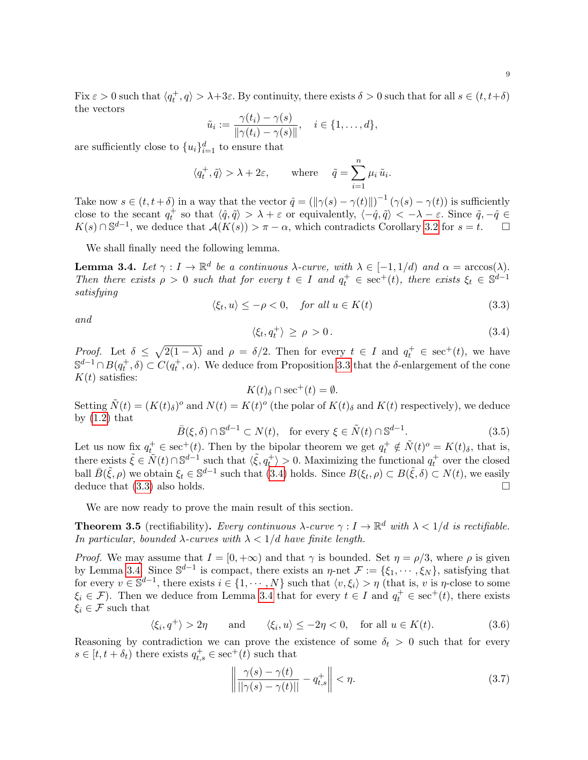Fix  $\varepsilon > 0$  such that  $\langle q_t^+, q \rangle > \lambda + 3\varepsilon$ . By continuity, there exists  $\delta > 0$  such that for all  $s \in (t, t + \delta)$ the vectors

$$
\tilde{u}_i := \frac{\gamma(t_i) - \gamma(s)}{\|\gamma(t_i) - \gamma(s)\|}, \quad i \in \{1, \dots, d\},\
$$

are sufficiently close to  ${u_i}_{i=1}^d$  to ensure that

$$
\langle q_t^+, \tilde{q} \rangle > \lambda + 2\varepsilon
$$
, where  $\tilde{q} = \sum_{i=1}^n \mu_i \tilde{u}_i$ .

Take now  $s \in (t, t + \delta)$  in a way that the vector  $\hat{q} = (\|\gamma(s) - \gamma(t)\|)^{-1} (\gamma(s) - \gamma(t))$  is sufficiently close to the secant  $q_t^+$  so that  $\langle \hat{q}, \tilde{q} \rangle > \lambda + \varepsilon$  or equivalently,  $\langle -\hat{q}, \tilde{q} \rangle < -\lambda - \varepsilon$ . Since  $\tilde{q}, -\hat{q} \in$  $K(s) \cap \mathbb{S}^{d-1}$ , we deduce that  $\mathcal{A}(K(s)) > \pi - \alpha$ , which contradicts Corollary [3.2](#page-7-2) for  $s = t$ .  $\Box$ 

We shall finally need the following lemma.

<span id="page-8-3"></span>**Lemma 3.4.** Let  $\gamma: I \to \mathbb{R}^d$  be a continuous  $\lambda$ -curve, with  $\lambda \in [-1, 1/d)$  and  $\alpha = \arccos(\lambda)$ . Then there exists  $\rho > 0$  such that for every  $t \in I$  and  $q_t^+ \in \sec^+(t)$ , there exists  $\xi_t \in \mathbb{S}^{d-1}$ satisfying

<span id="page-8-2"></span>
$$
\langle \xi_t, u \rangle \le -\rho < 0, \quad \text{for all } u \in K(t) \tag{3.3}
$$

and

<span id="page-8-1"></span>
$$
\langle \xi_t, q_t^+ \rangle \ge \rho > 0. \tag{3.4}
$$

*Proof.* Let  $\delta \leq \sqrt{2(1-\lambda)}$  and  $\rho = \delta/2$ . Then for every  $t \in I$  and  $q_t^+ \in \text{sec}^+(t)$ , we have  $\mathbb{S}^{d-1}\cap B(q_t^+,\delta)\subset C(q_t^+,\alpha)$ . We deduce from Proposition [3.3](#page-7-3) that the  $\delta$ -enlargement of the cone  $K(t)$  satisfies:

$$
K(t)_{\delta} \cap \sec^+(t) = \emptyset.
$$

Setting  $\tilde{N}(t) = (K(t)_{\delta})^o$  and  $N(t) = K(t)^o$  (the polar of  $K(t)_{\delta}$  and  $K(t)$  respectively), we deduce by  $(1.2)$  that

$$
\bar{B}(\xi,\delta) \cap \mathbb{S}^{d-1} \subset N(t), \quad \text{for every } \xi \in \tilde{N}(t) \cap \mathbb{S}^{d-1}.
$$
 (3.5)

Let us now fix  $q_t^+ \in \sec^+(t)$ . Then by the bipolar theorem we get  $q_t^+ \notin \tilde{N}(t)^o = K(t)_{\delta}$ , that is, there exists  $\tilde{\xi} \in \tilde{N}(t) \cap \mathbb{S}^{d-1}$  such that  $\langle \tilde{\xi}, q_t^+ \rangle > 0$ . Maximizing the functional  $q_t^+$  over the closed ball  $\bar{B}(\tilde{\xi}, \rho)$  we obtain  $\xi_t \in \mathbb{S}^{d-1}$  such that  $(3.4)$  holds. Since  $B(\xi_t, \rho) \subset B(\tilde{\xi}, \delta) \subset N(t)$ , we easily deduce that  $(3.3)$  also holds.

We are now ready to prove the main result of this section.

<span id="page-8-0"></span>**Theorem 3.5** (rectifiability). Every continuous  $\lambda$ -curve  $\gamma : I \to \mathbb{R}^d$  with  $\lambda < 1/d$  is rectifiable. In particular, bounded  $\lambda$ -curves with  $\lambda < 1/d$  have finite length.

*Proof.* We may assume that  $I = [0, +\infty)$  and that  $\gamma$  is bounded. Set  $\eta = \rho/3$ , where  $\rho$  is given by Lemma [3.4.](#page-8-3) Since  $\mathbb{S}^{d-1}$  is compact, there exists an  $\eta$ -net  $\mathcal{F} := \{\xi_1, \cdots, \xi_N\}$ , satisfying that for every  $v \in \mathbb{S}^{d-1}$ , there exists  $i \in \{1, \cdots, N\}$  such that  $\langle v, \xi_i \rangle > \eta$  (that is, v is  $\eta$ -close to some  $\xi_i \in \mathcal{F}$ ). Then we deduce from Lemma [3.4](#page-8-3) that for every  $t \in I$  and  $q_t^+ \in \text{sec}^+(t)$ , there exists  $\xi_i \in \mathcal{F}$  such that

<span id="page-8-4"></span>
$$
\langle \xi_i, q^+ \rangle > 2\eta
$$
 and  $\langle \xi_i, u \rangle \le -2\eta < 0$ , for all  $u \in K(t)$ . (3.6)

Reasoning by contradiction we can prove the existence of some  $\delta_t > 0$  such that for every  $s \in [t, t + \delta_t)$  there exists  $q_{t,s}^+ \in \text{sec}^+(t)$  such that

$$
\left\| \frac{\gamma(s) - \gamma(t)}{||\gamma(s) - \gamma(t)||} - q_{t,s}^+ \right\| < \eta. \tag{3.7}
$$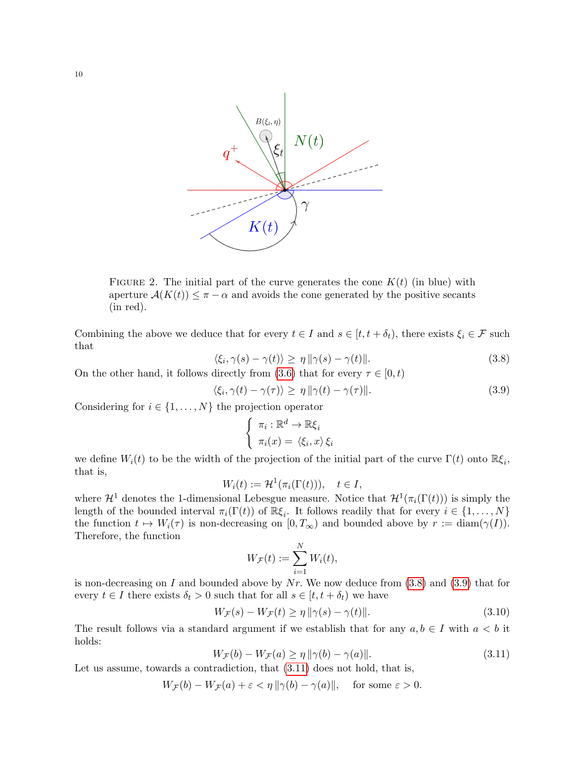

FIGURE 2. The initial part of the curve generates the cone  $K(t)$  (in blue) with aperture  $A(K(t)) \leq \pi - \alpha$  and avoids the cone generated by the positive secants (in red).

Combining the above we deduce that for every  $t \in I$  and  $s \in [t, t + \delta_t)$ , there exists  $\xi_i \in \mathcal{F}$  such that

<span id="page-9-0"></span>
$$
\langle \xi_i, \gamma(s) - \gamma(t) \rangle \ge \eta \, \|\gamma(s) - \gamma(t)\|.\tag{3.8}
$$

On the other hand, it follows directly from [\(3.6\)](#page-8-4) that for every  $\tau \in [0, t)$ 

<span id="page-9-1"></span>
$$
\langle \xi_i, \gamma(t) - \gamma(\tau) \rangle \ge \eta \, \|\gamma(t) - \gamma(\tau)\|.\tag{3.9}
$$

Considering for  $i \in \{1, ..., N\}$  the projection operator

$$
\begin{cases} \pi_i : \mathbb{R}^d \to \mathbb{R}\xi_i \\ \pi_i(x) = \langle \xi_i, x \rangle \xi_i \end{cases}
$$

we define  $W_i(t)$  to be the width of the projection of the initial part of the curve  $\Gamma(t)$  onto  $\mathbb{R}\xi_i$ , that is,

$$
W_i(t) := \mathcal{H}^1(\pi_i(\Gamma(t))), \quad t \in I,
$$

where  $\mathcal{H}^1$  denotes the 1-dimensional Lebesgue measure. Notice that  $\mathcal{H}^1(\pi_i(\Gamma(t)))$  is simply the length of the bounded interval  $\pi_i(\Gamma(t))$  of  $\mathbb{R}\xi_i$ . It follows readily that for every  $i \in \{1, ..., N\}$ the function  $t \mapsto W_i(\tau)$  is non-decreasing on  $[0, T_{\infty})$  and bounded above by  $r := \text{diam}(\gamma(I)).$ Therefore, the function

$$
W_{\mathcal{F}}(t) := \sum_{i=1}^N W_i(t),
$$

is non-decreasing on I and bounded above by  $Nr$ . We now deduce from [\(3.8\)](#page-9-0) and [\(3.9\)](#page-9-1) that for every  $t \in I$  there exists  $\delta_t > 0$  such that for all  $s \in [t, t + \delta_t)$  we have

<span id="page-9-3"></span>
$$
W_{\mathcal{F}}(s) - W_{\mathcal{F}}(t) \ge \eta \|\gamma(s) - \gamma(t)\|.
$$
\n(3.10)

The result follows via a standard argument if we establish that for any  $a, b \in I$  with  $a < b$  it holds:

<span id="page-9-2"></span>
$$
W_{\mathcal{F}}(b) - W_{\mathcal{F}}(a) \ge \eta \|\gamma(b) - \gamma(a)\|.
$$
\n(3.11)

Let us assume, towards a contradiction, that  $(3.11)$  does not hold, that is,

 $W_{\mathcal{F}}(b) - W_{\mathcal{F}}(a) + \varepsilon < \eta \|\gamma(b) - \gamma(a)\|, \text{ for some } \varepsilon > 0.$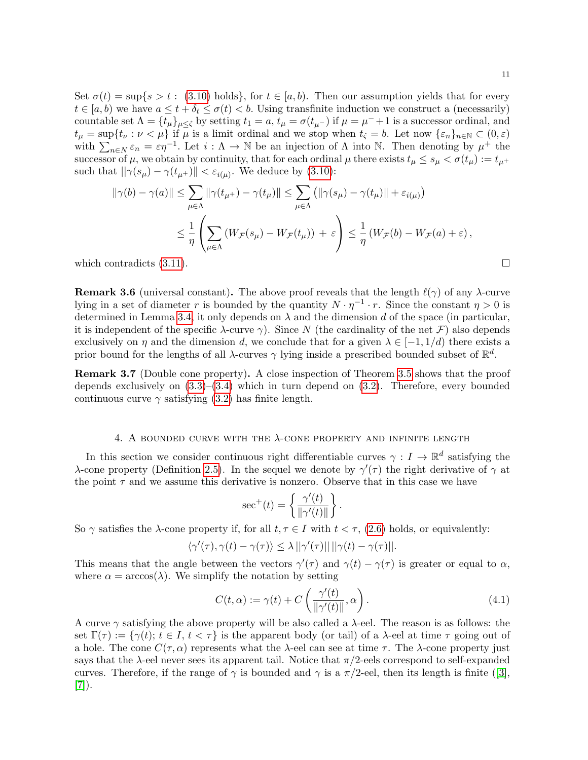Set  $\sigma(t) = \sup\{s > t : (3.10) \text{ holds}\},\$  $\sigma(t) = \sup\{s > t : (3.10) \text{ holds}\},\$  $\sigma(t) = \sup\{s > t : (3.10) \text{ holds}\},\$ for  $t \in [a, b)$ . Then our assumption yields that for every  $t \in [a, b)$  we have  $a \leq t + \delta_t \leq \sigma(t) < b$ . Using transfinite induction we construct a (necessarily) countable set  $\Lambda = \{t_\mu\}_{\mu \leq \hat{\varsigma}}$  by setting  $t_1 = a, t_\mu = \sigma(t_{\mu}^-)$  if  $\mu = \mu^- + 1$  is a successor ordinal, and  $t_{\mu} = \sup\{t_{\nu} : \nu < \mu\}$  if  $\mu$  is a limit ordinal and we stop when  $t_{\hat{\zeta}} = b$ . Let now  $\{\varepsilon_n\}_{n \in \mathbb{N}} \subset (0, \varepsilon)$ with  $\sum_{n\in\mathbb{N}}\varepsilon_n=\varepsilon\eta^{-1}$ . Let  $i:\Lambda\to\mathbb{N}$  be an injection of  $\Lambda$  into  $\mathbb{N}$ . Then denoting by  $\mu^+$  the successor of  $\mu$ , we obtain by continuity, that for each ordinal  $\mu$  there exists  $t_{\mu} \leq s_{\mu} < \sigma(t_{\mu}) := t_{\mu}$ + such that  $\|\gamma(s_\mu) - \gamma(t_{\mu^+})\| < \varepsilon_{i(\mu)}$ . We deduce by [\(3.10\)](#page-9-3):

$$
\|\gamma(b) - \gamma(a)\| \le \sum_{\mu \in \Lambda} \|\gamma(t_{\mu^+}) - \gamma(t_{\mu})\| \le \sum_{\mu \in \Lambda} \left(\|\gamma(s_{\mu}) - \gamma(t_{\mu})\| + \varepsilon_{i(\mu)}\right)
$$
  

$$
\le \frac{1}{\eta} \left( \sum_{\mu \in \Lambda} \left(W_{\mathcal{F}}(s_{\mu}) - W_{\mathcal{F}}(t_{\mu})\right) + \varepsilon \right) \le \frac{1}{\eta} \left(W_{\mathcal{F}}(b) - W_{\mathcal{F}}(a) + \varepsilon\right),
$$
  
which contradicts (3.11).

**Remark 3.6** (universal constant). The above proof reveals that the length  $\ell(\gamma)$  of any  $\lambda$ -curve lying in a set of diameter r is bounded by the quantity  $N \cdot \eta^{-1} \cdot r$ . Since the constant  $\eta > 0$  is determined in Lemma [3.4,](#page-8-3) it only depends on  $\lambda$  and the dimension d of the space (in particular, it is independent of the specific  $\lambda$ -curve  $\gamma$ ). Since N (the cardinality of the net F) also depends exclusively on  $\eta$  and the dimension d, we conclude that for a given  $\lambda \in [-1, 1/d)$  there exists a prior bound for the lengths of all  $\lambda$ -curves  $\gamma$  lying inside a prescribed bounded subset of  $\mathbb{R}^d$ .

<span id="page-10-2"></span>Remark 3.7 (Double cone property). A close inspection of Theorem [3.5](#page-8-0) shows that the proof depends exclusively on  $(3.3)$ – $(3.4)$  which in turn depend on  $(3.2)$ . Therefore, every bounded continuous curve  $\gamma$  satisfying [\(3.2\)](#page-7-4) has finite length.

## 4. A BOUNDED CURVE WITH THE  $\lambda$ -CONE PROPERTY AND INFINITE LENGTH

<span id="page-10-0"></span>In this section we consider continuous right differentiable curves  $\gamma: I \to \mathbb{R}^d$  satisfying the λ-cone property (Definition [2.5\)](#page-5-0). In the sequel we denote by  $\gamma'(\tau)$  the right derivative of  $\gamma$  at the point  $\tau$  and we assume this derivative is nonzero. Observe that in this case we have

$$
\sec^+(t) = \left\{ \frac{\gamma'(t)}{\|\gamma'(t)\|} \right\}.
$$

So  $\gamma$  satisfies the  $\lambda$ -cone property if, for all  $t, \tau \in I$  with  $t < \tau$ , [\(2.6\)](#page-5-3) holds, or equivalently:

$$
\langle \gamma'(\tau), \gamma(t) - \gamma(\tau) \rangle \leq \lambda ||\gamma'(\tau)|| \, ||\gamma(t) - \gamma(\tau)||.
$$

This means that the angle between the vectors  $\gamma'(\tau)$  and  $\gamma(t) - \gamma(\tau)$  is greater or equal to  $\alpha$ , where  $\alpha = \arccos(\lambda)$ . We simplify the notation by setting

<span id="page-10-1"></span>
$$
C(t, \alpha) := \gamma(t) + C\left(\frac{\gamma'(t)}{\|\gamma'(t)\|}, \alpha\right). \tag{4.1}
$$

A curve  $\gamma$  satisfying the above property will be also called a  $\lambda$ -eel. The reason is as follows: the set  $\Gamma(\tau) := {\gamma(t) : t \in I, t < \tau}$  is the apparent body (or tail) of a  $\lambda$ -eel at time  $\tau$  going out of a hole. The cone  $C(\tau, \alpha)$  represents what the  $\lambda$ -eel can see at time  $\tau$ . The  $\lambda$ -cone property just says that the  $\lambda$ -eel never sees its apparent tail. Notice that  $\pi/2$ -eels correspond to self-expanded curves.Therefore, if the range of  $\gamma$  is bounded and  $\gamma$  is a  $\pi/2$ -eel, then its length is finite ([\[3\]](#page-18-5), [\[7\]](#page-18-3)).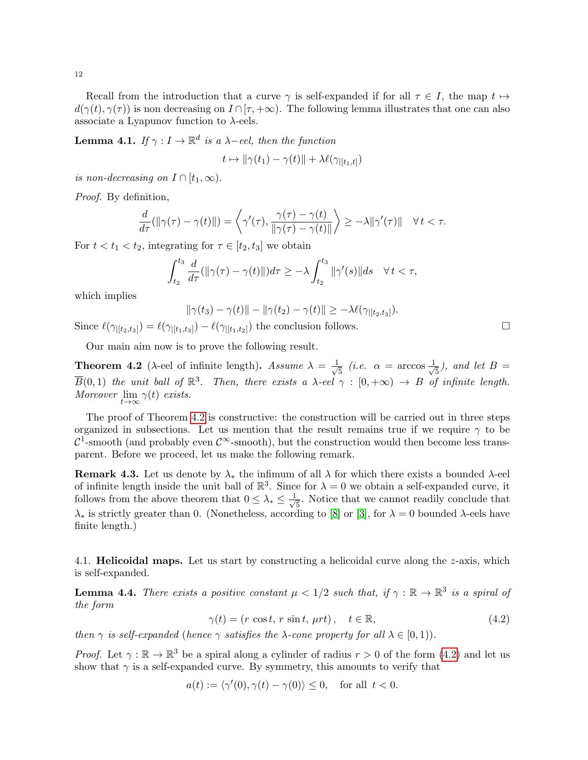Recall from the introduction that a curve  $\gamma$  is self-expanded if for all  $\tau \in I$ , the map  $t \mapsto$  $d(\gamma(t), \gamma(\tau))$  is non decreasing on  $I \cap [\tau, +\infty)$ . The following lemma illustrates that one can also associate a Lyapunov function to  $\lambda$ -eels.

**Lemma 4.1.** If  $\gamma: I \to \mathbb{R}^d$  is a  $\lambda$ -eel, then the function

$$
t \mapsto \|\gamma(t_1) - \gamma(t)\| + \lambda \ell(\gamma_{|[t_1,t]})
$$

is non-decreasing on  $I \cap [t_1, \infty)$ .

Proof. By definition,

$$
\frac{d}{d\tau}(\|\gamma(\tau)-\gamma(t)\|)=\left\langle\gamma'(\tau),\frac{\gamma(\tau)-\gamma(t)}{\|\gamma(\tau)-\gamma(t)\|}\right\rangle\geq -\lambda\|\gamma'(\tau)\|\quad\forall\,t<\tau.
$$

For  $t < t_1 < t_2$ , integrating for  $\tau \in [t_2, t_3]$  we obtain

$$
\int_{t_2}^{t_3} \frac{d}{d\tau} (\|\gamma(\tau) - \gamma(t)\|) d\tau \ge -\lambda \int_{t_2}^{t_3} \|\gamma'(s)\| ds \quad \forall \, t < \tau,
$$

which implies

 $\|\gamma(t_3) - \gamma(t)\| - \|\gamma(t_2) - \gamma(t)\| \geq -\lambda \ell(\gamma_{|[t_2,t_3]}).$ 

Since  $\ell(\gamma_{|[t_2,t_3]}) = \ell(\gamma_{|[t_1,t_3]}) - \ell(\gamma_{|[t_1,t_2]})$  the conclusion follows.

Our main aim now is to prove the following result.

<span id="page-11-1"></span>**Theorem 4.2** ( $\lambda$ -eel of infinite length). Assume  $\lambda = \frac{1}{\sqrt{2}}$  $\frac{1}{5}$  (*i.e.*  $\alpha = \arccos \frac{1}{\sqrt{2}}$  $\frac{1}{5}$ ), and let  $B =$  $\overline{B}(0,1)$  the unit ball of  $\mathbb{R}^3$ . Then, there exists a  $\lambda$ -eel  $\gamma : [0,+\infty) \to B$  of infinite length. Moreover  $\lim_{t\to\infty} \gamma(t)$  exists.

The proof of Theorem [4.2](#page-11-1) is constructive: the construction will be carried out in three steps organized in subsections. Let us mention that the result remains true if we require  $\gamma$  to be  $\mathcal{C}^1$ -smooth (and probably even  $\mathcal{C}^{\infty}$ -smooth), but the construction would then become less transparent. Before we proceed, let us make the following remark.

**Remark 4.3.** Let us denote by  $\lambda_*$  the infimum of all  $\lambda$  for which there exists a bounded  $\lambda$ -eel of infinite length inside the unit ball of  $\mathbb{R}^3$ . Since for  $\lambda = 0$  we obtain a self-expanded curve, it follows from the above theorem that  $0 \leq \lambda_* \leq \frac{1}{\sqrt{2}}$  $\frac{1}{5}$ . Notice that we cannot readily conclude that  $\lambda_*$  is strictly greater than 0. (Nonetheless, according to [\[8\]](#page-18-4) or [\[3\]](#page-18-5), for  $\lambda = 0$  bounded  $\lambda$ -eels have finite length.)

<span id="page-11-0"></span>4.1. **Helicoidal maps.** Let us start by constructing a helicoidal curve along the  $z$ -axis, which is self-expanded.

<span id="page-11-3"></span>**Lemma 4.4.** There exists a positive constant  $\mu < 1/2$  such that, if  $\gamma : \mathbb{R} \to \mathbb{R}^3$  is a spiral of the form

<span id="page-11-2"></span>
$$
\gamma(t) = (r \cos t, r \sin t, \mu rt), \quad t \in \mathbb{R}, \tag{4.2}
$$

then  $\gamma$  is self-expanded (hence  $\gamma$  satisfies the  $\lambda$ -cone property for all  $\lambda \in [0,1)$ ).

*Proof.* Let  $\gamma : \mathbb{R} \to \mathbb{R}^3$  be a spiral along a cylinder of radius  $r > 0$  of the form [\(4.2\)](#page-11-2) and let us show that  $\gamma$  is a self-expanded curve. By symmetry, this amounts to verify that

$$
a(t) := \langle \gamma'(0), \gamma(t) - \gamma(0) \rangle \le 0, \quad \text{for all } t < 0.
$$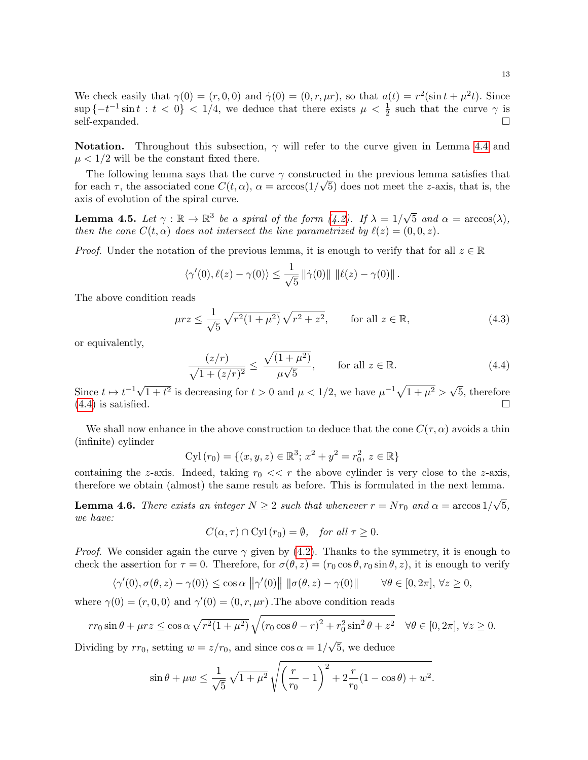We check easily that  $\gamma(0) = (r, 0, 0)$  and  $\dot{\gamma}(0) = (0, r, \mu r)$ , so that  $a(t) = r^2(\sin t + \mu^2 t)$ . Since  $\sup \{-t^{-1}\sin t : t < 0\} < 1/4$ , we deduce that there exists  $\mu < \frac{1}{2}$  such that the curve  $\gamma$  is  $\text{self-expanded.}$ 

**Notation.** Throughout this subsection,  $\gamma$  will refer to the curve given in Lemma [4.4](#page-11-3) and  $\mu < 1/2$  will be the constant fixed there.

The following lemma says that the curve  $\gamma$  constructed in the previous lemma satisfies that for each  $\tau$ , the associated cone  $C(t, \alpha)$ ,  $\alpha = \arccos(1/\sqrt{5})$  does not meet the z-axis, that is, the axis of evolution of the spiral curve.

**Lemma 4.5.** Let  $\gamma : \mathbb{R} \to \mathbb{R}^3$  be a spiral of the form [\(4.2\)](#page-11-2). If  $\lambda = 1/3$ √ 5 and  $\alpha = \arccos(\lambda)$ , then the cone  $C(t, \alpha)$  does not intersect the line parametrized by  $\ell(z) = (0, 0, z)$ .

*Proof.* Under the notation of the previous lemma, it is enough to verify that for all  $z \in \mathbb{R}$ 

$$
\langle \gamma'(0), \ell(z) - \gamma(0) \rangle \leq \frac{1}{\sqrt{5}} ||\dot{\gamma}(0)|| ||\ell(z) - \gamma(0)||.
$$

The above condition reads

$$
\mu rz \le \frac{1}{\sqrt{5}} \sqrt{r^2 (1 + \mu^2)} \sqrt{r^2 + z^2}, \qquad \text{for all } z \in \mathbb{R},
$$
 (4.3)

or equivalently,

<span id="page-12-0"></span>
$$
\frac{(z/r)}{\sqrt{1+(z/r)^2}} \le \frac{\sqrt{(1+\mu^2)}}{\mu\sqrt{5}}, \qquad \text{for all } z \in \mathbb{R}.
$$
 (4.4)

Since  $t \mapsto t^{-1} \sqrt{ }$  $\overline{1+t^2}$  is decreasing for  $t>0$  and  $\mu < 1/2$ , we have  $\mu^{-1}\sqrt{1+\mu^2} >$ √ 5, therefore  $(4.4)$  is satisfied.

We shall now enhance in the above construction to deduce that the cone  $C(\tau, \alpha)$  avoids a thin (infinite) cylinder

$$
Cyl(r_0) = \{(x, y, z) \in \mathbb{R}^3; x^2 + y^2 = r_0^2, z \in \mathbb{R}\}\
$$

containing the z-axis. Indeed, taking  $r_0 \ll r$  the above cylinder is very close to the z-axis, therefore we obtain (almost) the same result as before. This is formulated in the next lemma.

<span id="page-12-1"></span>**Lemma 4.6.** There exists an integer  $N \geq 2$  such that whenever  $r = Nr_0$  and  $\alpha = \arccos 1$ √ 5, we have:

$$
C(\alpha, \tau) \cap Cyl(r_0) = \emptyset
$$
, for all  $\tau \ge 0$ .

*Proof.* We consider again the curve  $\gamma$  given by [\(4.2\)](#page-11-2). Thanks to the symmetry, it is enough to check the assertion for  $\tau = 0$ . Therefore, for  $\sigma(\theta, z) = (r_0 \cos \theta, r_0 \sin \theta, z)$ , it is enough to verify

$$
\langle \gamma'(0), \sigma(\theta, z) - \gamma(0) \rangle \le \cos \alpha \, ||\gamma'(0)|| \, ||\sigma(\theta, z) - \gamma(0)|| \qquad \forall \theta \in [0, 2\pi], \, \forall z \ge 0,
$$

where  $\gamma(0) = (r, 0, 0)$  and  $\gamma'(0) = (0, r, \mu r)$ . The above condition reads

$$
rr_0 \sin \theta + \mu rz \le \cos \alpha \sqrt{r^2 (1 + \mu^2)} \sqrt{(r_0 \cos \theta - r)^2 + r_0^2 \sin^2 \theta + z^2} \quad \forall \theta \in [0, 2\pi], \forall z \ge 0.
$$

Dividing by  $rr_0$ , setting  $w = z/r_0$ , and since  $\cos \alpha = 1/$ 5, we deduce

$$
\sin \theta + \mu w \le \frac{1}{\sqrt{5}} \sqrt{1 + \mu^2} \sqrt{\left(\frac{r}{r_0} - 1\right)^2 + 2\frac{r}{r_0} (1 - \cos \theta) + w^2}.
$$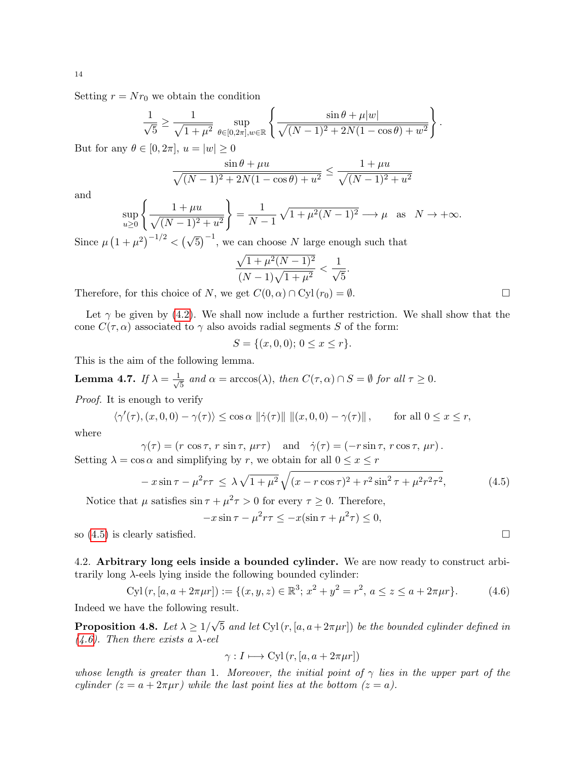Setting  $r = Nr_0$  we obtain the condition

$$
\frac{1}{\sqrt{5}} \ge \frac{1}{\sqrt{1+\mu^2}} \sup_{\theta \in [0,2\pi], w \in \mathbb{R}} \left\{ \frac{\sin \theta + \mu |w|}{\sqrt{(N-1)^2 + 2N(1-\cos \theta) + w^2}} \right\}.
$$

But for any  $\theta \in [0, 2\pi]$ ,  $u = |w| \geq 0$ 

$$
\frac{\sin \theta + \mu u}{\sqrt{(N-1)^2 + 2N(1 - \cos \theta) + u^2}} \le \frac{1 + \mu u}{\sqrt{(N-1)^2 + u^2}}
$$

and

$$
\sup_{u \ge 0} \left\{ \frac{1 + \mu u}{\sqrt{(N-1)^2 + u^2}} \right\} = \frac{1}{N-1} \sqrt{1 + \mu^2 (N-1)^2} \longrightarrow \mu \text{ as } N \to +\infty.
$$

Since  $\mu (1 + \mu^2)^{-1/2} < (\sqrt{5})^{-1}$ , we can choose N large enough such that

$$
\frac{\sqrt{1+\mu^2(N-1)^2}}{(N-1)\sqrt{1+\mu^2}} < \frac{1}{\sqrt{5}}
$$

.

Therefore, for this choice of N, we get  $C(0, \alpha) \cap \text{Cyl}(r_0) = \emptyset$ .

Let  $\gamma$  be given by [\(4.2\)](#page-11-2). We shall now include a further restriction. We shall show that the cone  $C(\tau, \alpha)$  associated to  $\gamma$  also avoids radial segments S of the form:

$$
S = \{(x, 0, 0); 0 \le x \le r\}.
$$

This is the aim of the following lemma.

<span id="page-13-3"></span>**Lemma 4.7.** If  $\lambda = \frac{1}{\sqrt{2}}$  $\frac{1}{5}$  and  $\alpha = \arccos(\lambda)$ , then  $C(\tau, \alpha) \cap S = \emptyset$  for all  $\tau \geq 0$ .

Proof. It is enough to verify

$$
\langle \gamma'(\tau), (x, 0, 0) - \gamma(\tau) \rangle \le \cos \alpha \, \|\dot{\gamma}(\tau)\| \, \|(x, 0, 0) - \gamma(\tau)\| \,, \qquad \text{for all } 0 \le x \le r,
$$

where

$$
\gamma(\tau) = (r \cos \tau, r \sin \tau, \mu r \tau) \quad \text{and} \quad \dot{\gamma}(\tau) = (-r \sin \tau, r \cos \tau, \mu r).
$$
  
Setting  $\lambda = \cos \alpha$  and simplifying by r, we obtain for all  $0 \le x \le r$ 

<span id="page-13-1"></span>
$$
-x\sin\tau - \mu^2 r\tau \le \lambda \sqrt{1+\mu^2} \sqrt{(x-r\cos\tau)^2 + r^2\sin^2\tau + \mu^2 r^2\tau^2},\tag{4.5}
$$

Notice that  $\mu$  satisfies  $\sin \tau + \mu^2 \tau > 0$  for every  $\tau \geq 0$ . Therefore,

$$
-x\sin\tau - \mu^2r\tau \le -x(\sin\tau + \mu^2\tau) \le 0,
$$

so  $(4.5)$  is clearly satisfied.

<span id="page-13-0"></span>4.2. Arbitrary long eels inside a bounded cylinder. We are now ready to construct arbitrarily long  $\lambda$ -eels lying inside the following bounded cylinder:

<span id="page-13-2"></span>
$$
\text{Cyl}(r, [a, a + 2\pi\mu r]) := \{(x, y, z) \in \mathbb{R}^3; x^2 + y^2 = r^2, a \le z \le a + 2\pi\mu r\}. \tag{4.6}
$$

Indeed we have the following result.

<span id="page-13-4"></span>Proposition 4.8. Let  $\lambda \geq 1/$ √ 5 and let  $Cyl(r, [a, a+2\pi\mu r])$  be the bounded cylinder defined in  $(4.6)$ . Then there exists a  $\lambda$ -eel

$$
\gamma: I \longmapsto \text{Cyl}(r, [a, a + 2\pi\mu r])
$$

whose length is greater than 1. Moreover, the initial point of  $\gamma$  lies in the upper part of the cylinder  $(z = a + 2\pi\mu r)$  while the last point lies at the bottom  $(z = a)$ .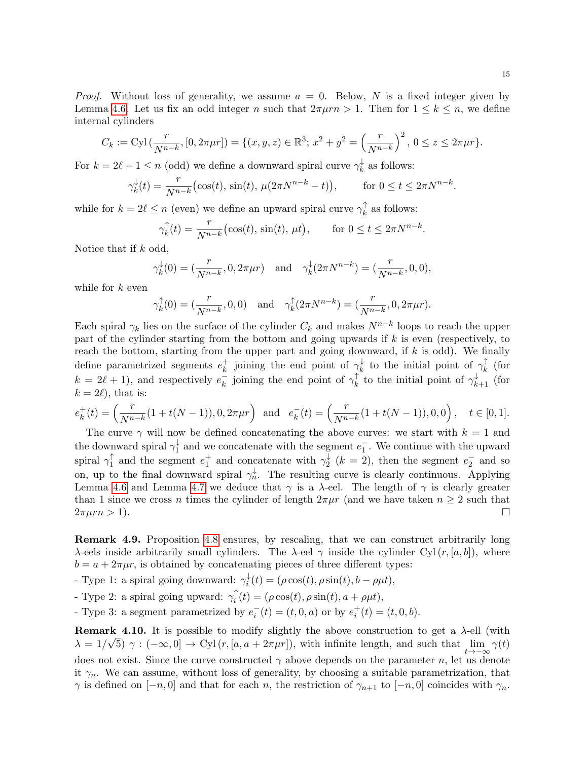*Proof.* Without loss of generality, we assume  $a = 0$ . Below, N is a fixed integer given by Lemma [4.6.](#page-12-1) Let us fix an odd integer n such that  $2\pi\mu rn > 1$ . Then for  $1 \leq k \leq n$ , we define internal cylinders

$$
C_k := \text{Cyl}\left(\frac{r}{N^{n-k}}, [0, 2\pi\mu r]\right) = \{(x, y, z) \in \mathbb{R}^3; x^2 + y^2 = \left(\frac{r}{N^{n-k}}\right)^2, 0 \le z \le 2\pi\mu r\}.
$$

For  $k = 2\ell + 1 \leq n$  (odd) we define a downward spiral curve  $\gamma_k^{\downarrow}$  $\vec{k}$  as follows:

$$
\gamma_k^{\downarrow}(t) = \frac{r}{N^{n-k}} \big( \cos(t), \sin(t), \, \mu(2\pi N^{n-k} - t) \big), \qquad \text{for } 0 \le t \le 2\pi N^{n-k}.
$$

while for  $k = 2\ell \leq n$  (even) we define an upward spiral curve  $\gamma_k^{\uparrow}$  $\frac{1}{k}$  as follows:

$$
\gamma_k^{\uparrow}(t) = \frac{r}{N^{n-k}} \big( \cos(t), \sin(t), \, \mu t \big), \qquad \text{for } 0 \le t \le 2\pi N^{n-k}.
$$

Notice that if  $k$  odd,

$$
\gamma_k^{\downarrow}(0) = (\frac{r}{N^{n-k}}, 0, 2\pi\mu r)
$$
 and  $\gamma_k^{\downarrow}(2\pi N^{n-k}) = (\frac{r}{N^{n-k}}, 0, 0),$ 

while for  $k$  even

$$
\gamma_k^{\uparrow}(0) = (\frac{r}{N^{n-k}}, 0, 0)
$$
 and  $\gamma_k^{\uparrow}(2\pi N^{n-k}) = (\frac{r}{N^{n-k}}, 0, 2\pi \mu r).$ 

Each spiral  $\gamma_k$  lies on the surface of the cylinder  $C_k$  and makes  $N^{n-k}$  loops to reach the upper part of the cylinder starting from the bottom and going upwards if  $k$  is even (respectively, to reach the bottom, starting from the upper part and going downward, if  $k$  is odd). We finally define parametrized segments  $e_k^+$  $\frac{1}{k}$  joining the end point of  $\gamma_k^{\downarrow}$  $\frac{1}{k}$  to the initial point of  $\gamma_k^{\uparrow}$  $\frac{1}{k}$  (for  $k = 2\ell + 1$ , and respectively  $e_k^ \overline{k}$  joining the end point of  $\gamma_k^{\uparrow}$  $\hat{k}_{k}$  to the initial point of  $\gamma_{k+1}^{\downarrow}$  (for  $k = 2\ell$ , that is:

$$
e_k^+(t) = \left(\frac{r}{N^{n-k}}(1+t(N-1)), 0, 2\pi\mu r\right) \text{ and } e_k^-(t) = \left(\frac{r}{N^{n-k}}(1+t(N-1)), 0, 0\right), \quad t \in [0, 1].
$$

The curve  $\gamma$  will now be defined concatenating the above curves: we start with  $k = 1$  and the downward spiral  $\gamma_1^{\downarrow}$  $\frac{1}{1}$  and we concatenate with the segment  $e_1^-$ . We continue with the upward spiral  $\gamma_1^{\uparrow}$  $\int_1^{\uparrow}$  and the segment  $e_1^+$  and concatenate with  $\gamma_2^{\downarrow}$  $\frac{1}{2}$  (k = 2), then the segment  $e_2^-$  and so on, up to the final downward spiral  $\gamma_n^{\downarrow}$ . The resulting curve is clearly continuous. Applying Lemma [4.6](#page-12-1) and Lemma [4.7](#page-13-3) we deduce that  $\gamma$  is a  $\lambda$ -eel. The length of  $\gamma$  is clearly greater than 1 since we cross n times the cylinder of length  $2\pi\mu r$  (and we have taken  $n \geq 2$  such that  $2\pi\mu r n > 1$ ).

<span id="page-14-0"></span>Remark 4.9. Proposition [4.8](#page-13-4) ensures, by rescaling, that we can construct arbitrarily long λ-eels inside arbitrarily small cylinders. The λ-eel  $\gamma$  inside the cylinder Cyl(r, [a, b]), where  $b = a + 2\pi\mu r$ , is obtained by concatenating pieces of three different types:

- Type 1: a spiral going downward:  $\gamma_i^{\downarrow}$  $i_t^*(t) = (\rho \cos(t), \rho \sin(t), b - \rho \mu t),$ 

- Type 2: a spiral going upward:  $\gamma_i^{\uparrow}$  $i_t^{\text{T}}(t) = (\rho \cos(t), \rho \sin(t), a + \rho \mu t),$ 

- Type 3: a segment parametrized by  $e_i^-(t) = (t, 0, a)$  or by  $e_i^+(t) = (t, 0, b)$ .

**Remark 4.10.** It is possible to modify slightly the above construction to get a  $\lambda$ -ell (with  $\lambda = 1/\sqrt{5}$ )  $\gamma : (-\infty, 0] \to \text{Cyl}(r, [a, a + 2\pi\mu r])$ , with infinite length, and such that  $\lim_{t \to -\infty} \gamma(t)$ does not exist. Since the curve constructed  $\gamma$  above depends on the parameter n, let us denote it  $\gamma_n$ . We can assume, without loss of generality, by choosing a suitable parametrization, that  $\gamma$  is defined on  $[-n, 0]$  and that for each n, the restriction of  $\gamma_{n+1}$  to  $[-n, 0]$  coincides with  $\gamma_n$ .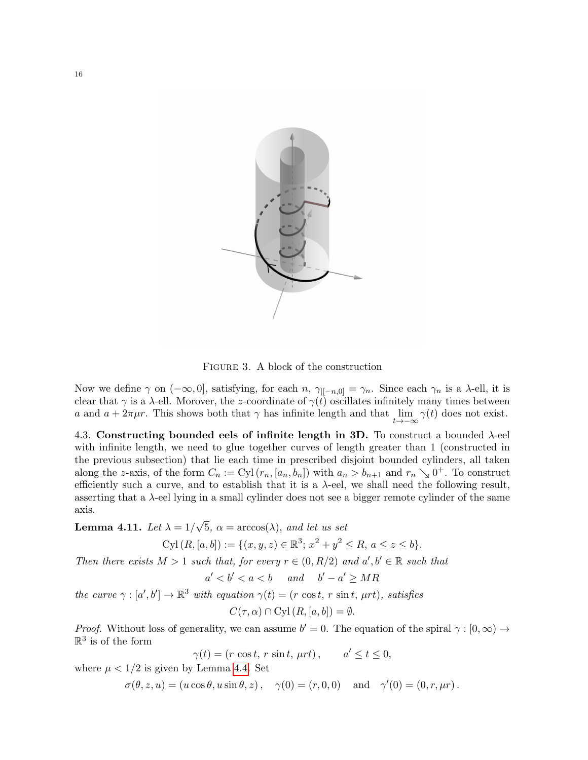

Figure 3. A block of the construction

Now we define  $\gamma$  on  $(-\infty, 0]$ , satisfying, for each  $n$ ,  $\gamma_{[-n,0]} = \gamma_n$ . Since each  $\gamma_n$  is a  $\lambda$ -ell, it is clear that  $\gamma$  is a  $\lambda$ -ell. Morover, the z-coordinate of  $\gamma(t)$  oscillates infinitely many times between a and  $a + 2\pi\mu r$ . This shows both that  $\gamma$  has infinite length and that  $\lim_{t\to -\infty} \gamma(t)$  does not exist.

<span id="page-15-0"></span>4.3. Constructing bounded eels of infinite length in 3D. To construct a bounded  $\lambda$ -eel with infinite length, we need to glue together curves of length greater than 1 (constructed in the previous subsection) that lie each time in prescribed disjoint bounded cylinders, all taken along the z-axis, of the form  $C_n := \text{Cyl}(r_n, [a_n, b_n])$  with  $a_n > b_{n+1}$  and  $r_n \searrow 0^+$ . To construct efficiently such a curve, and to establish that it is a  $\lambda$ -eel, we shall need the following result, asserting that a λ-eel lying in a small cylinder does not see a bigger remote cylinder of the same axis.

<span id="page-15-1"></span>Lemma 4.11. Let  $\lambda = 1/$ √  $5, \ \alpha = \arccos(\lambda), \ and \ let \ us \ set$ 

 $Cyl(R, [a, b]) := \{(x, y, z) \in \mathbb{R}^3; x^2 + y^2 \le R, a \le z \le b\}.$ 

Then there exists  $M > 1$  such that, for every  $r \in (0, R/2)$  and  $a', b' \in \mathbb{R}$  such that

$$
a' < b' < a < b \quad and \quad b' - a' \ge MR
$$

the curve  $\gamma : [\alpha', b'] \to \mathbb{R}^3$  with equation  $\gamma(t) = (r \cos t, r \sin t, \mu rt)$ , satisfies

 $C(\tau, \alpha) \cap \text{Cyl}(R, [a, b]) = \emptyset.$ 

*Proof.* Without loss of generality, we can assume  $b' = 0$ . The equation of the spiral  $\gamma : [0, \infty) \to$  $\mathbb{R}^3$  is of the form

$$
\gamma(t) = (r \cos t, r \sin t, \mu rt), \qquad a' \le t \le 0,
$$

where  $\mu < 1/2$  is given by Lemma [4.4.](#page-11-3) Set

 $\sigma(\theta, z, u) = (u \cos \theta, u \sin \theta, z), \quad \gamma(0) = (r, 0, 0) \quad \text{and} \quad \gamma'(0) = (0, r, \mu r).$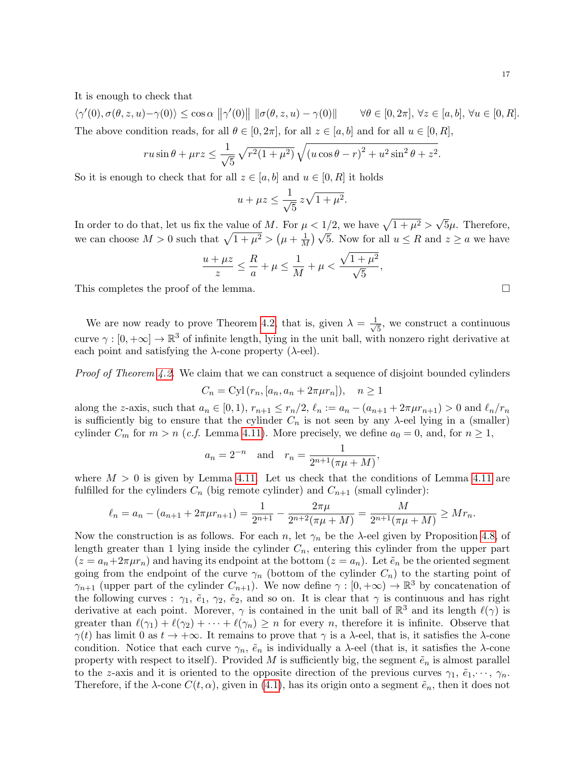It is enough to check that

 $\langle \gamma'(0), \sigma(\theta, z, u) - \gamma(0) \rangle \leq \cos \alpha \, \| \gamma'(0) \| \, \| \sigma(\theta, z, u) - \gamma(0) \|$   $\forall \theta \in [0, 2\pi], \, \forall z \in [a, b], \, \forall u \in [0, R].$ The above condition reads, for all  $\theta \in [0, 2\pi]$ , for all  $z \in [a, b]$  and for all  $u \in [0, R]$ ,

$$
ru\sin\theta + \mu rz \le \frac{1}{\sqrt{5}}\sqrt{r^2(1+\mu^2)}\sqrt{(u\cos\theta - r)^2 + u^2\sin^2\theta + z^2}.
$$

So it is enough to check that for all  $z \in [a, b]$  and  $u \in [0, R]$  it holds

$$
u + \mu z \le \frac{1}{\sqrt{5}} z \sqrt{1 + \mu^2}.
$$

In order to do that, let us fix the value of M. For  $\mu < 1/2$ , we have  $\sqrt{1 + \mu^2} >$ √  $5\mu$ . Therefore, we can choose  $M > 0$  such that  $\sqrt{1 + \mu^2} > (\mu + \frac{1}{M})$  $\mu < 1/2$ , we have  $\sqrt{1 + \mu^2} > \sqrt{9\mu}$ . Therefore,<br> $\frac{1}{M}$   $\sqrt{5}$ . Now for all  $u \leq R$  and  $z \geq a$  we have

$$
\frac{u + \mu z}{z} \le \frac{R}{a} + \mu \le \frac{1}{M} + \mu < \frac{\sqrt{1 + \mu^2}}{\sqrt{5}},
$$

This completes the proof of the lemma.

We are now ready to prove Theorem [4.2,](#page-11-1) that is, given  $\lambda = \frac{1}{4}$ 5 , we construct a continuous curve  $\gamma : [0, +\infty] \to \mathbb{R}^3$  of infinite length, lying in the unit ball, with nonzero right derivative at each point and satisfying the  $\lambda$ -cone property ( $\lambda$ -eel).

Proof of Theorem [4.2.](#page-11-1) We claim that we can construct a sequence of disjoint bounded cylinders

$$
C_n = Cyl(r_n, [a_n, a_n + 2\pi\mu r_n]), \quad n \ge 1
$$

along the z-axis, such that  $a_n \in [0,1)$ ,  $r_{n+1} \le r_n/2$ ,  $\ell_n := a_n - (a_{n+1} + 2\pi\mu r_{n+1}) > 0$  and  $\ell_n/r_n$ is sufficiently big to ensure that the cylinder  $C_n$  is not seen by any  $\lambda$ -eel lying in a (smaller) cylinder  $C_m$  for  $m > n$  (*c.f.* Lemma [4.11\)](#page-15-1). More precisely, we define  $a_0 = 0$ , and, for  $n \ge 1$ ,

$$
a_n = 2^{-n}
$$
 and  $r_n = \frac{1}{2^{n+1}(\pi\mu + M)}$ ,

where  $M > 0$  is given by Lemma [4.11.](#page-15-1) Let us check that the conditions of Lemma [4.11](#page-15-1) are fulfilled for the cylinders  $C_n$  (big remote cylinder) and  $C_{n+1}$  (small cylinder):

$$
\ell_n = a_n - (a_{n+1} + 2\pi\mu r_{n+1}) = \frac{1}{2^{n+1}} - \frac{2\pi\mu}{2^{n+2}(\pi\mu + M)} = \frac{M}{2^{n+1}(\pi\mu + M)} \ge Mr_n.
$$

Now the construction is as follows. For each n, let  $\gamma_n$  be the  $\lambda$ -eel given by Proposition [4.8,](#page-13-4) of length greater than 1 lying inside the cylinder  $C_n$ , entering this cylinder from the upper part  $(z = a_n + 2\pi \mu r_n)$  and having its endpoint at the bottom  $(z = a_n)$ . Let  $\tilde{e}_n$  be the oriented segment going from the endpoint of the curve  $\gamma_n$  (bottom of the cylinder  $C_n$ ) to the starting point of  $\gamma_{n+1}$  (upper part of the cylinder  $C_{n+1}$ ). We now define  $\gamma : [0, +\infty) \to \mathbb{R}^3$  by concatenation of the following curves :  $\gamma_1$ ,  $\tilde{e}_1$ ,  $\gamma_2$ ,  $\tilde{e}_2$ , and so on. It is clear that  $\gamma$  is continuous and has right derivative at each point. Morever,  $\gamma$  is contained in the unit ball of  $\mathbb{R}^3$  and its length  $\ell(\gamma)$  is greater than  $\ell(\gamma_1) + \ell(\gamma_2) + \cdots + \ell(\gamma_n) \geq n$  for every n, therefore it is infinite. Observe that  $\gamma(t)$  has limit 0 as  $t \to +\infty$ . It remains to prove that  $\gamma$  is a  $\lambda$ -eel, that is, it satisfies the  $\lambda$ -cone condition. Notice that each curve  $\gamma_n$ ,  $\tilde{e}_n$  is individually a  $\lambda$ -eel (that is, it satisfies the  $\lambda$ -cone property with respect to itself). Provided M is sufficiently big, the segment  $\tilde{e}_n$  is almost parallel to the z-axis and it is oriented to the opposite direction of the previous curves  $\gamma_1, \tilde{e}_1, \dots, \gamma_n$ . Therefore, if the  $\lambda$ -cone  $C(t, \alpha)$ , given in [\(4.1\)](#page-10-1), has its origin onto a segment  $\tilde{e}_n$ , then it does not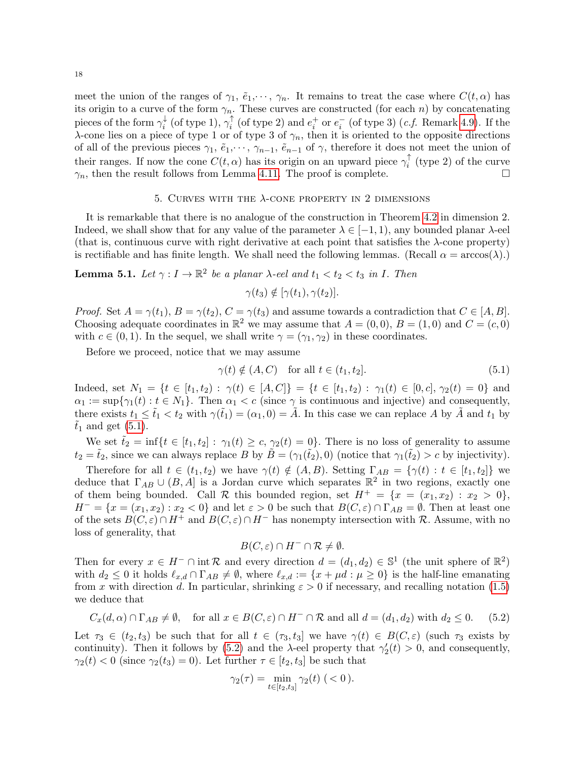meet the union of the ranges of  $\gamma_1, \tilde{e}_1, \dots, \gamma_n$ . It remains to treat the case where  $C(t, \alpha)$  has its origin to a curve of the form  $\gamma_n$ . These curves are constructed (for each n) by concatenating pieces of the form  $\gamma_i^{\downarrow}$  $_i^{\downarrow}$  (of type 1),  $\gamma_i^{\uparrow}$  $i_i$ <sup> $\uparrow$ </sup> (of type 2) and  $e_i^+$  or  $e_i^-$  (of type 3) (*c.f.* Remark [4.9\)](#page-14-0). If the  $\lambda$ -cone lies on a piece of type 1 or of type 3 of  $\gamma_n$ , then it is oriented to the opposite directions of all of the previous pieces  $\gamma_1, \tilde{e}_1, \dots, \gamma_{n-1}, \tilde{e}_{n-1}$  of  $\gamma$ , therefore it does not meet the union of their ranges. If now the cone  $C(t, \alpha)$  has its origin on an upward piece  $\gamma_i^{\uparrow}$  $i^{\top}$  (type 2) of the curve  $\gamma_n$ , then the result follows from Lemma [4.11.](#page-15-1) The proof is complete.

#### 5. CURVES WITH THE  $\lambda$ -CONE PROPERTY IN 2 DIMENSIONS

<span id="page-17-0"></span>It is remarkable that there is no analogue of the construction in Theorem [4.2](#page-11-1) in dimension 2. Indeed, we shall show that for any value of the parameter  $\lambda \in (-1, 1)$ , any bounded planar  $\lambda$ -eel (that is, continuous curve with right derivative at each point that satisfies the  $\lambda$ -cone property) is rectifiable and has finite length. We shall need the following lemmas. (Recall  $\alpha = \arccos(\lambda)$ .)

<span id="page-17-3"></span>**Lemma 5.1.** Let  $\gamma: I \to \mathbb{R}^2$  be a planar  $\lambda$ -eel and  $t_1 < t_2 < t_3$  in I. Then

$$
\gamma(t_3) \notin [\gamma(t_1), \gamma(t_2)].
$$

*Proof.* Set  $A = \gamma(t_1)$ ,  $B = \gamma(t_2)$ ,  $C = \gamma(t_3)$  and assume towards a contradiction that  $C \in [A, B]$ . Choosing adequate coordinates in  $\mathbb{R}^2$  we may assume that  $A = (0,0), B = (1,0)$  and  $C = (c,0)$ with  $c \in (0, 1)$ . In the sequel, we shall write  $\gamma = (\gamma_1, \gamma_2)$  in these coordinates.

Before we proceed, notice that we may assume

<span id="page-17-1"></span>
$$
\gamma(t) \notin (A, C) \quad \text{for all } t \in (t_1, t_2]. \tag{5.1}
$$

Indeed, set  $N_1 = \{t \in [t_1, t_2) : \gamma(t) \in [A, C]\} = \{t \in [t_1, t_2) : \gamma_1(t) \in [0, c], \gamma_2(t) = 0\}$  and  $\alpha_1 := \sup\{\gamma_1(t): t \in N_1\}.$  Then  $\alpha_1 < c$  (since  $\gamma$  is continuous and injective) and consequently, there exists  $t_1 \leq \tilde{t}_1 < t_2$  with  $\gamma(\tilde{t}_1) = (\alpha_1, 0) = \tilde{A}$ . In this case we can replace A by  $\tilde{A}$  and  $t_1$  by  $\tilde{t}_1$  and get [\(5.1\)](#page-17-1).

We set  $\tilde{t}_2 = \inf\{t \in [t_1, t_2]: \gamma_1(t) \geq c, \gamma_2(t) = 0\}.$  There is no loss of generality to assume  $t_2 = \tilde{t}_2$ , since we can always replace B by  $\tilde{B} = (\gamma_1(\tilde{t}_2), 0)$  (notice that  $\gamma_1(\tilde{t}_2) > c$  by injectivity).

Therefore for all  $t \in (t_1, t_2)$  we have  $\gamma(t) \notin (A, B)$ . Setting  $\Gamma_{AB} = {\gamma(t) : t \in [t_1, t_2]}$  we deduce that  $\Gamma_{AB} \cup (B, A]$  is a Jordan curve which separates  $\mathbb{R}^2$  in two regions, exactly one of them being bounded. Call R this bounded region, set  $H^+ = \{x = (x_1, x_2) : x_2 > 0\},\$  $H^- = \{x = (x_1, x_2) : x_2 < 0\}$  and let  $\varepsilon > 0$  be such that  $B(C, \varepsilon) \cap \Gamma_{AB} = \emptyset$ . Then at least one of the sets  $B(C, \varepsilon) \cap H^+$  and  $B(C, \varepsilon) \cap H^-$  has nonempty intersection with R. Assume, with no loss of generality, that

$$
B(C,\varepsilon) \cap H^- \cap \mathcal{R} \neq \emptyset.
$$

Then for every  $x \in H^- \cap \text{int } \mathcal{R}$  and every direction  $d = (d_1, d_2) \in \mathbb{S}^1$  (the unit sphere of  $\mathbb{R}^2$ ) with  $d_2 \leq 0$  it holds  $\ell_{x,d} \cap \Gamma_{AB} \neq \emptyset$ , where  $\ell_{x,d} := \{x + \mu d : \mu \geq 0\}$  is the half-line emanating from x with direction d. In particular, shrinking  $\varepsilon > 0$  if necessary, and recalling notation [\(1.5\)](#page-2-3) we deduce that

<span id="page-17-2"></span>
$$
C_x(d,\alpha) \cap \Gamma_{AB} \neq \emptyset, \quad \text{for all } x \in B(C,\varepsilon) \cap H^- \cap \mathcal{R} \text{ and all } d = (d_1, d_2) \text{ with } d_2 \leq 0. \tag{5.2}
$$

Let  $\tau_3 \in (t_2, t_3)$  be such that for all  $t \in (\tau_3, t_3]$  we have  $\gamma(t) \in B(C, \varepsilon)$  (such  $\tau_3$  exists by continuity). Then it follows by [\(5.2\)](#page-17-2) and the  $\lambda$ -eel property that  $\gamma_2'(t) > 0$ , and consequently,  $\gamma_2(t) < 0$  (since  $\gamma_2(t_3) = 0$ ). Let further  $\tau \in [t_2, t_3]$  be such that

$$
\gamma_2(\tau) = \min_{t \in [t_2, t_3]} \gamma_2(t) \quad (<0).
$$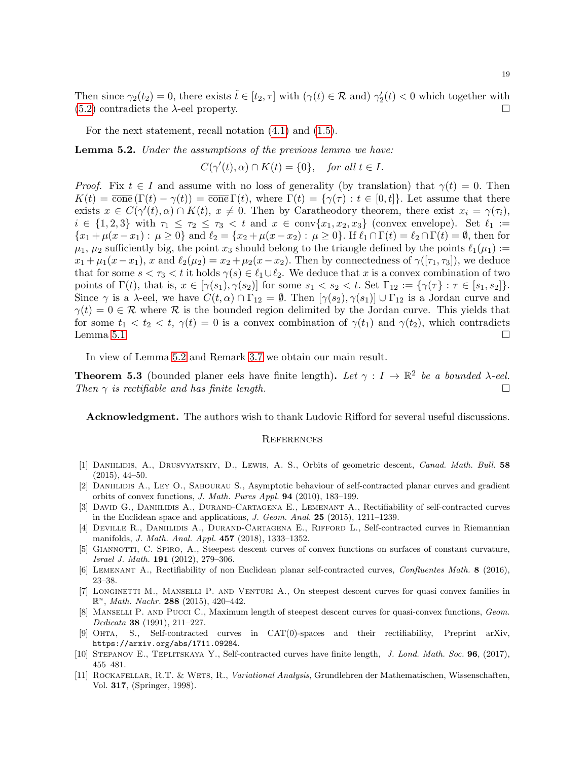Then since  $\gamma_2(t_2) = 0$ , there exists  $\tilde{t} \in [t_2, \tau]$  with  $(\gamma(t) \in \mathcal{R}$  and)  $\gamma_2'(t) < 0$  which together with  $(5.2)$  contradicts the  $\lambda$ -eel property.

For the next statement, recall notation [\(4.1\)](#page-10-1) and [\(1.5\)](#page-2-3).

<span id="page-18-12"></span>**Lemma 5.2.** Under the assumptions of the previous lemma we have:

$$
C(\gamma'(t), \alpha) \cap K(t) = \{0\}, \quad \text{for all } t \in I.
$$

*Proof.* Fix  $t \in I$  and assume with no loss of generality (by translation) that  $\gamma(t) = 0$ . Then  $K(t) = \overline{\text{cone}}(\Gamma(t) - \gamma(t)) = \overline{\text{cone}}(\Gamma(t))$ , where  $\Gamma(t) = {\gamma(\tau) : t \in [0, t]}$ . Let assume that there exists  $x \in C(\gamma'(t), \alpha) \cap K(t), x \neq 0$ . Then by Caratheodory theorem, there exist  $x_i = \gamma(\tau_i)$ ,  $i \in \{1,2,3\}$  with  $\tau_1 \leq \tau_2 \leq \tau_3 < t$  and  $x \in \text{conv}\{x_1, x_2, x_3\}$  (convex envelope). Set  $\ell_1 :=$  ${x_1 + \mu(x - x_1) : \mu \ge 0}$  and  $\ell_2 = {x_2 + \mu(x - x_2) : \mu \ge 0}$ . If  $\ell_1 \cap \Gamma(t) = \ell_2 \cap \Gamma(t) = \emptyset$ , then for  $\mu_1, \mu_2$  sufficiently big, the point  $x_3$  should belong to the triangle defined by the points  $\ell_1(\mu_1) :=$  $x_1 + \mu_1(x-x_1)$ , x and  $\ell_2(\mu_2) = x_2 + \mu_2(x-x_2)$ . Then by connectedness of  $\gamma([\tau_1, \tau_3])$ , we deduce that for some  $s < \tau_3 < t$  it holds  $\gamma(s) \in \ell_1 \cup \ell_2$ . We deduce that x is a convex combination of two points of  $\Gamma(t)$ , that is,  $x \in [\gamma(s_1), \gamma(s_2)]$  for some  $s_1 < s_2 < t$ . Set  $\Gamma_{12} := {\gamma(\tau) : \tau \in [s_1, s_2]}$ . Since  $\gamma$  is a  $\lambda$ -eel, we have  $C(t, \alpha) \cap \Gamma_{12} = \emptyset$ . Then  $[\gamma(s_2), \gamma(s_1)] \cup \Gamma_{12}$  is a Jordan curve and  $\gamma(t) = 0 \in \mathcal{R}$  where  $\mathcal{R}$  is the bounded region delimited by the Jordan curve. This yields that for some  $t_1 < t_2 < t$ ,  $\gamma(t) = 0$  is a convex combination of  $\gamma(t_1)$  and  $\gamma(t_2)$ , which contradicts Lemma [5.1.](#page-17-3)  $\Box$ 

In view of Lemma [5.2](#page-18-12) and Remark [3.7](#page-10-2) we obtain our main result.

<span id="page-18-10"></span>**Theorem 5.3** (bounded planer eels have finite length). Let  $\gamma : I \to \mathbb{R}^2$  be a bounded  $\lambda$ -eel. Then  $\gamma$  is rectifiable and has finite length.

Acknowledgment. The authors wish to thank Ludovic Rifford for several useful discussions.

#### <span id="page-18-0"></span>**REFERENCES**

- <span id="page-18-2"></span>[1] DANIILIDIS, A., DRUSVYATSKIY, D., LEWIS, A. S., Orbits of geometric descent, Canad. Math. Bull. 58 (2015), 44–50.
- <span id="page-18-1"></span>[2] Daniilidis A., Ley O., Sabourau S., Asymptotic behaviour of self-contracted planar curves and gradient orbits of convex functions, J. Math. Pures Appl. 94 (2010), 183–199.
- <span id="page-18-5"></span>[3] DAVID G., DANIILIDIS A., DURAND-CARTAGENA E., LEMENANT A., Rectifiability of self-contracted curves in the Euclidean space and applications, J. Geom. Anal. 25 (2015), 1211–1239.
- <span id="page-18-7"></span>[4] DEVILLE R., DANIILIDIS A., DURAND-CARTAGENA E., RIFFORD L., Self-contracted curves in Riemannian manifolds, J. Math. Anal. Appl. 457 (2018), 1333–1352.
- [5] Giannotti, C. Spiro, A., Steepest descent curves of convex functions on surfaces of constant curvature, Israel J. Math. 191 (2012), 279–306.
- <span id="page-18-8"></span>[6] Lemenant A., Rectifiability of non Euclidean planar self-contracted curves, Confluentes Math. 8 (2016), 23–38.
- <span id="page-18-3"></span>[7] Longinetti M., Manselli P. and Venturi A., On steepest descent curves for quasi convex families in  $\mathbb{R}^n$ , *Math. Nachr.* 288 (2015), 420–442.
- <span id="page-18-4"></span>[8] Manselli P. and Pucci C., Maximum length of steepest descent curves for quasi-convex functions, Geom. Dedicata 38 (1991), 211–227.
- <span id="page-18-6"></span>[9] Ohta, S., Self-contracted curves in CAT(0)-spaces and their rectifiability, Preprint arXiv, https://arxiv.org/abs/1711.09284.
- <span id="page-18-9"></span>[10] STEPANOV E., TEPLITSKAYA Y., Self-contracted curves have finite length, J. Lond. Math. Soc. 96, (2017), 455–481.
- <span id="page-18-11"></span>[11] Rockafellar, R.T. & Wets, R., Variational Analysis, Grundlehren der Mathematischen, Wissenschaften, Vol. 317, (Springer, 1998).